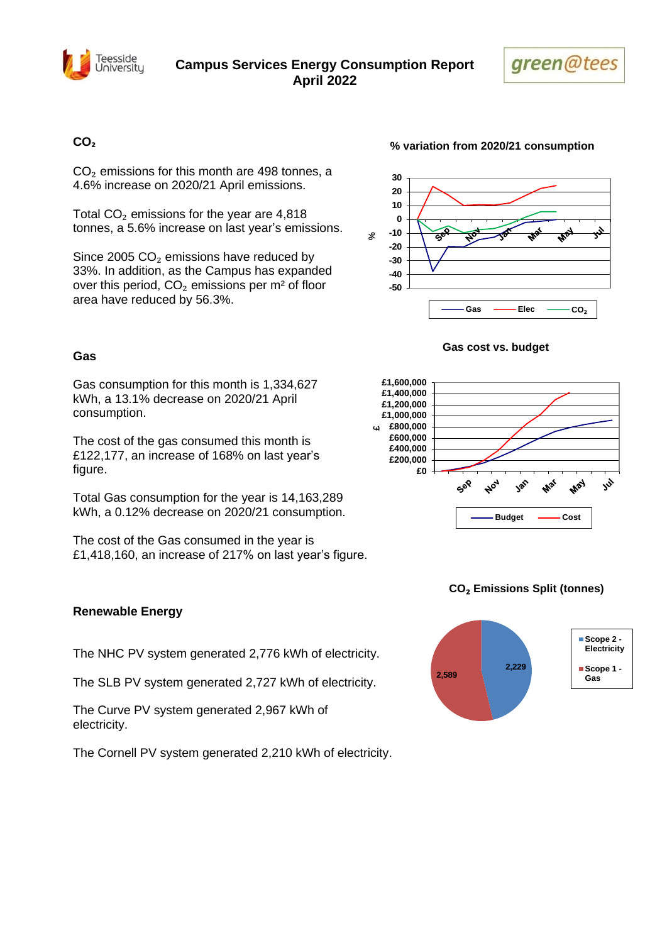



## **CO₂**

 $CO<sub>2</sub>$  emissions for this month are 498 tonnes, a 4.6% increase on 2020/21 April emissions.

Total  $CO<sub>2</sub>$  emissions for the year are 4,818 tonnes, a 5.6% increase on last year's emissions.

Since 2005  $CO<sub>2</sub>$  emissions have reduced by 33%. In addition, as the Campus has expanded over this period,  $CO<sub>2</sub>$  emissions per m<sup>2</sup> of floor area have reduced by 56.3%.

### **Gas**

Gas consumption for this month is 1,334,627 kWh, a 13.1% decrease on 2020/21 April consumption.

The cost of the gas consumed this month is £122,177, an increase of 168% on last year's figure.

Total Gas consumption for the year is 14,163,289 kWh, a 0.12% decrease on 2020/21 consumption.

The cost of the Gas consumed in the year is £1,418,160, an increase of 217% on last year's figure.

#### **-50 -40 -30 -20 -10 0 10 20 30 %**Gas  $\longrightarrow$  Elec  $\longrightarrow$  CO<sub>2</sub>

### **Gas cost vs. budget**



## **CO**₂ **Emissions Split (tonnes)**



## **Renewable Energy**

The NHC PV system generated 2,776 kWh of electricity.

The SLB PV system generated 2,727 kWh of electricity.

The Curve PV system generated 2,967 kWh of electricity.

The Cornell PV system generated 2,210 kWh of electricity.

**% variation from 2020/21 consumption**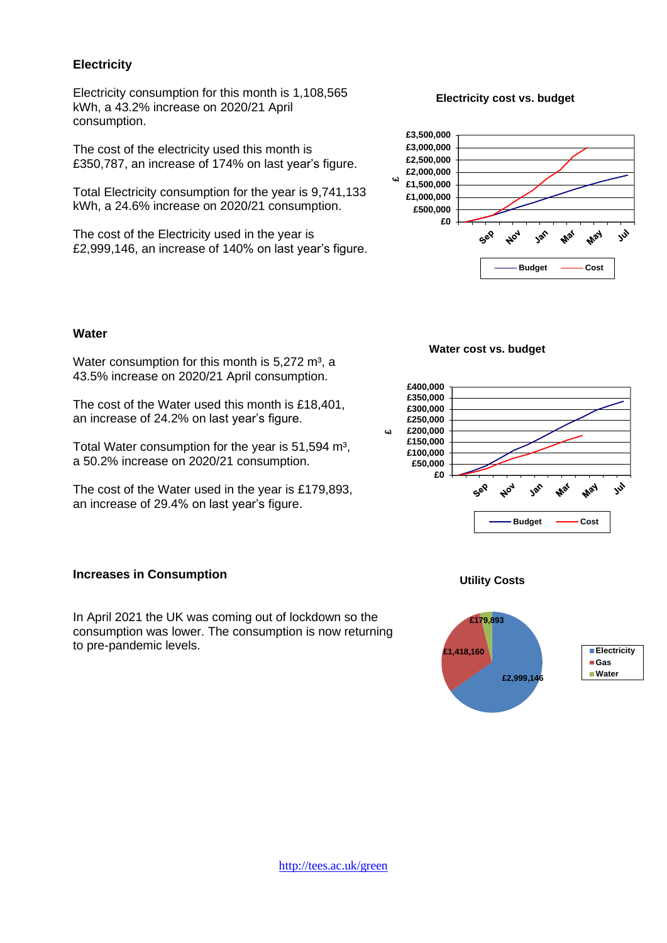## **Electricity**

Electricity consumption for this month is 1,108,565 kWh, a 43.2% increase on 2020/21 April consumption.

The cost of the electricity used this month is £350,787, an increase of 174% on last year's figure.

Total Electricity consumption for the year is 9,741,133 kWh, a 24.6% increase on 2020/21 consumption.

The cost of the Electricity used in the year is £2,999,146, an increase of 140% on last year's figure.

### **Electricity cost vs. budget**



### **Water**

Water consumption for this month is  $5.272 \text{ m}^3$ , a 43.5% increase on 2020/21 April consumption.

The cost of the Water used this month is £18,401, an increase of 24.2% on last year's figure.

Total Water consumption for the year is 51,594 m<sup>3</sup>, a 50.2% increase on 2020/21 consumption.

The cost of the Water used in the year is £179,893, an increase of 29.4% on last year's figure.

## **Increases in Consumption**

In April 2021 the UK was coming out of lockdown so the consumption was lower. The consumption is now returning to pre-pandemic levels.

### **Water cost vs. budget**



### **Utility Costs**

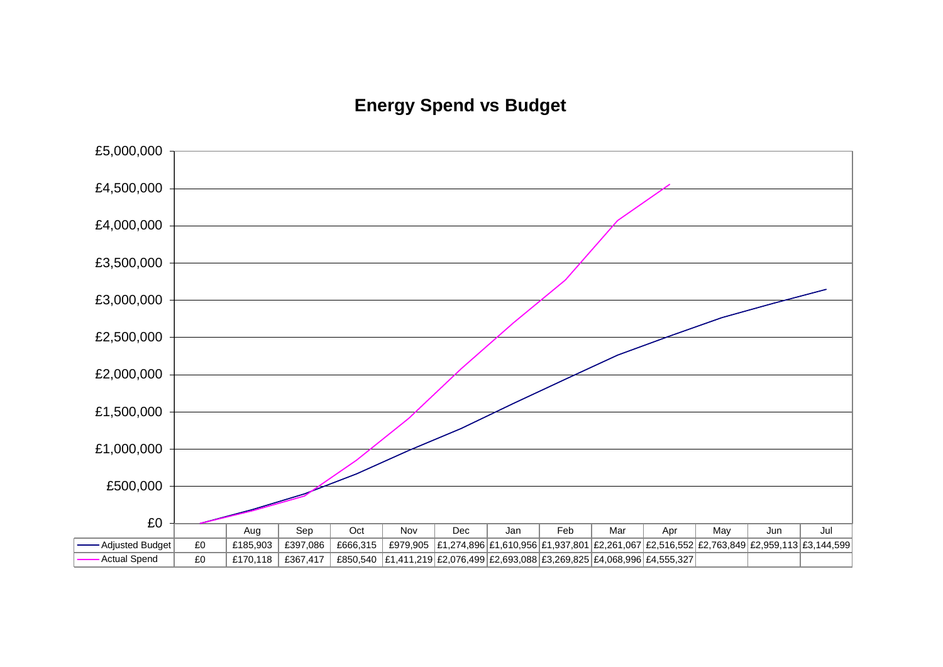# **Energy Spend vs Budget**

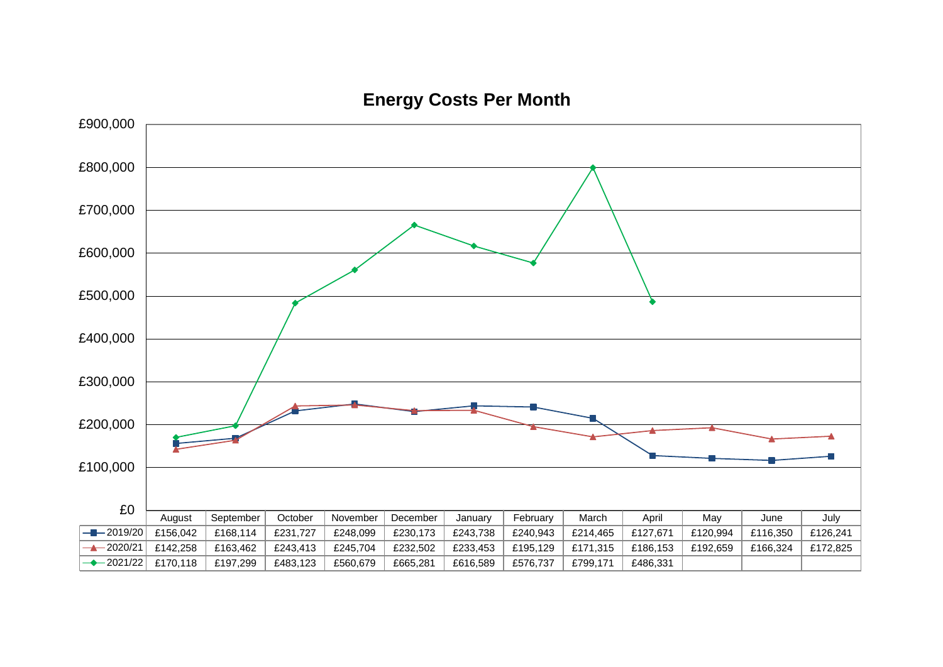

**Energy Costs Per Month**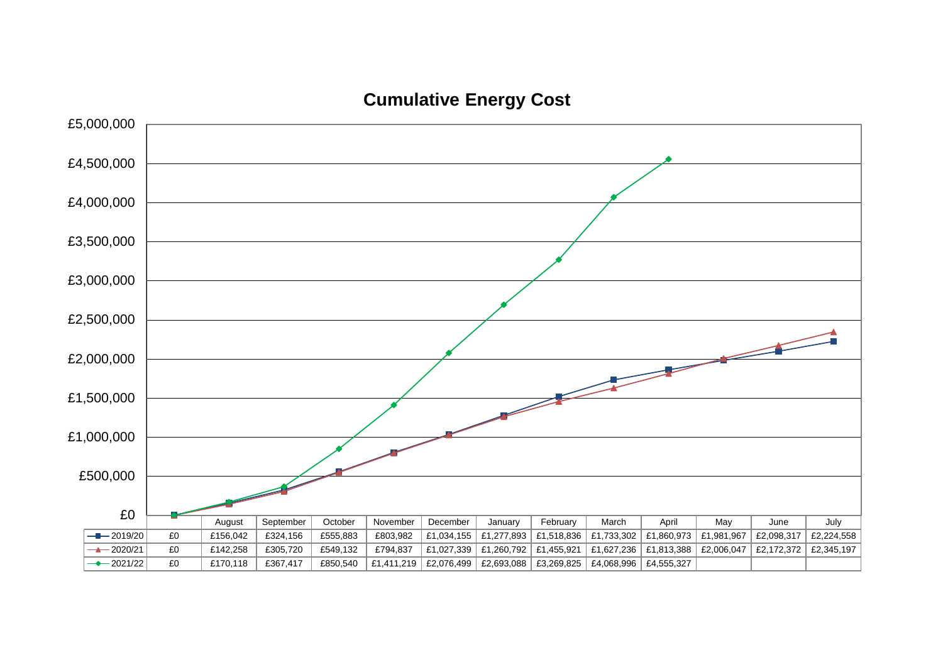**Cumulative Energy Cost**

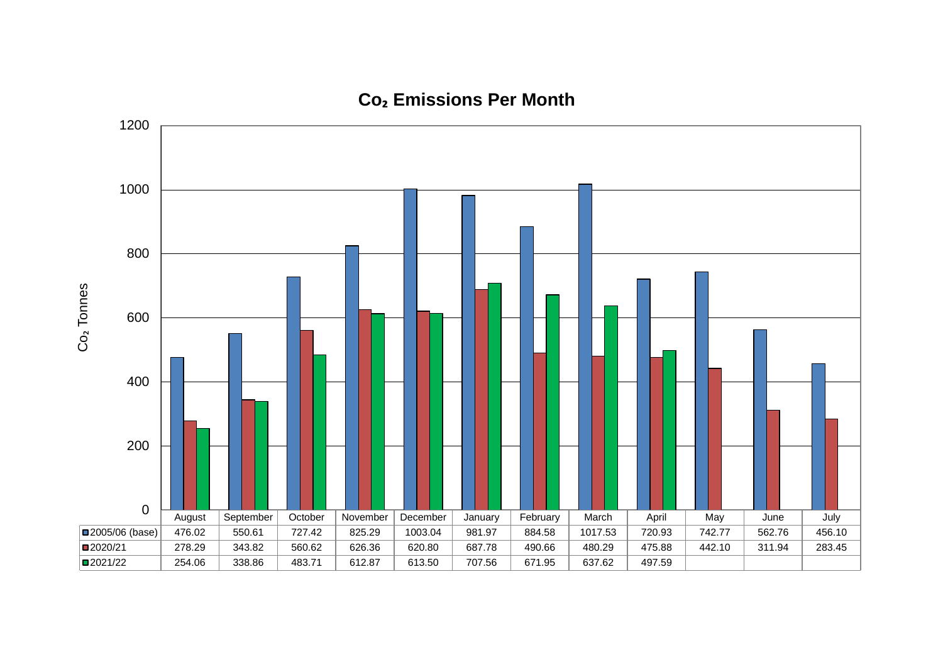

# **Co₂ Emissions Per Month**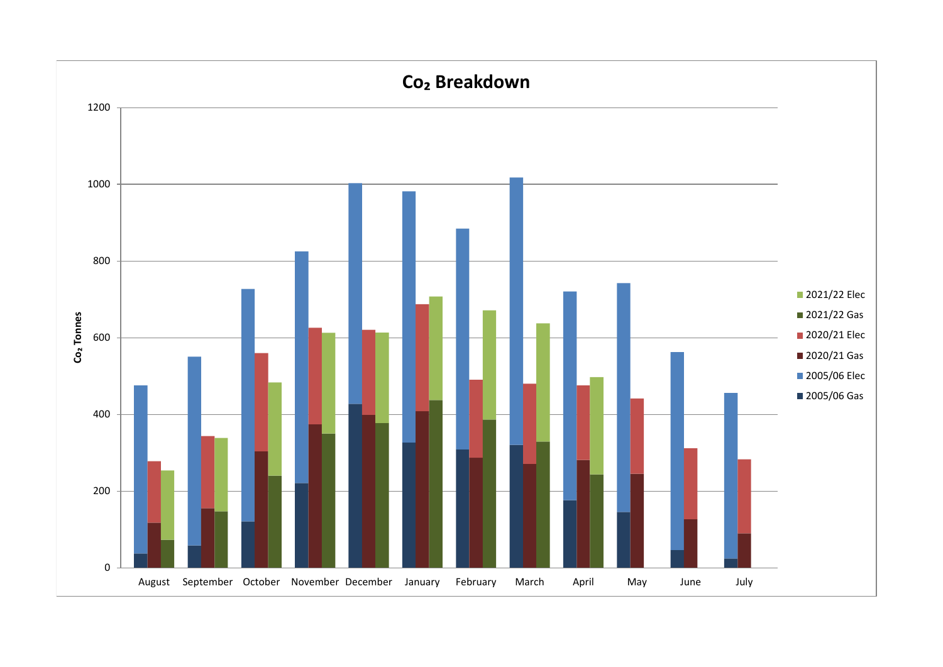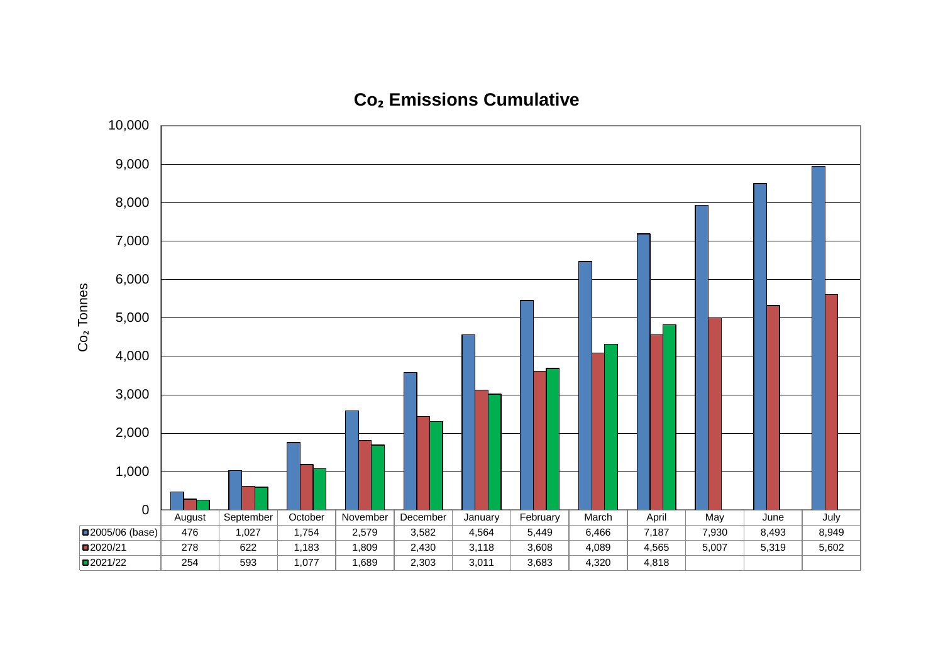

# **Co₂ Emissions Cumulative**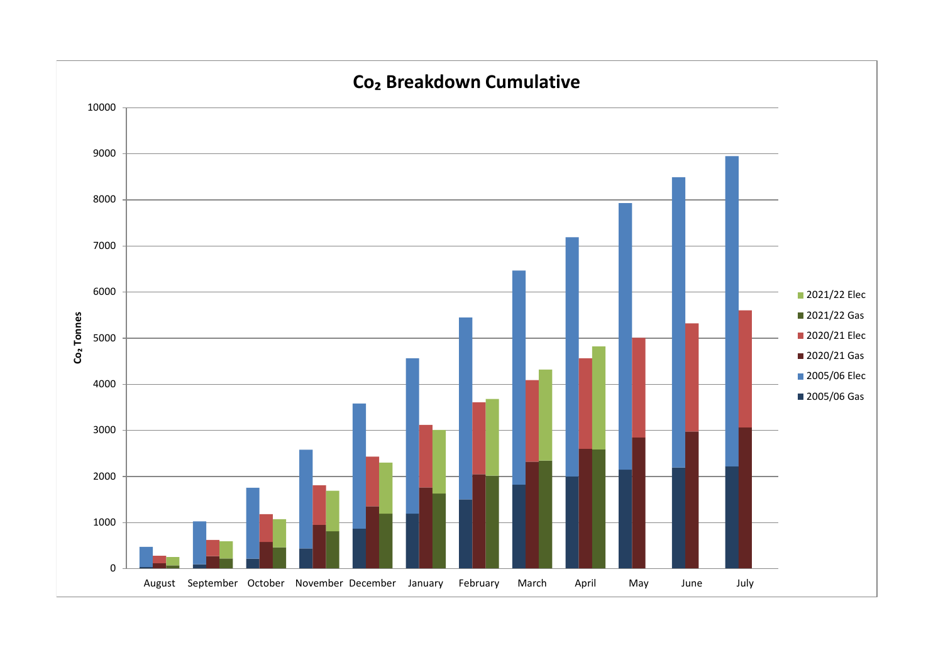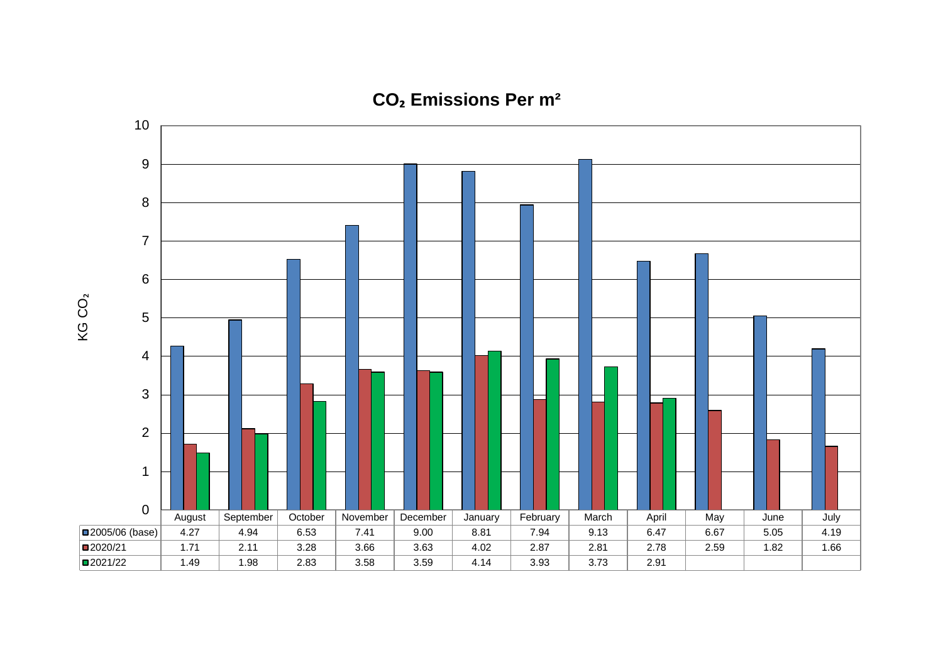

**CO₂ Emissions Per m²**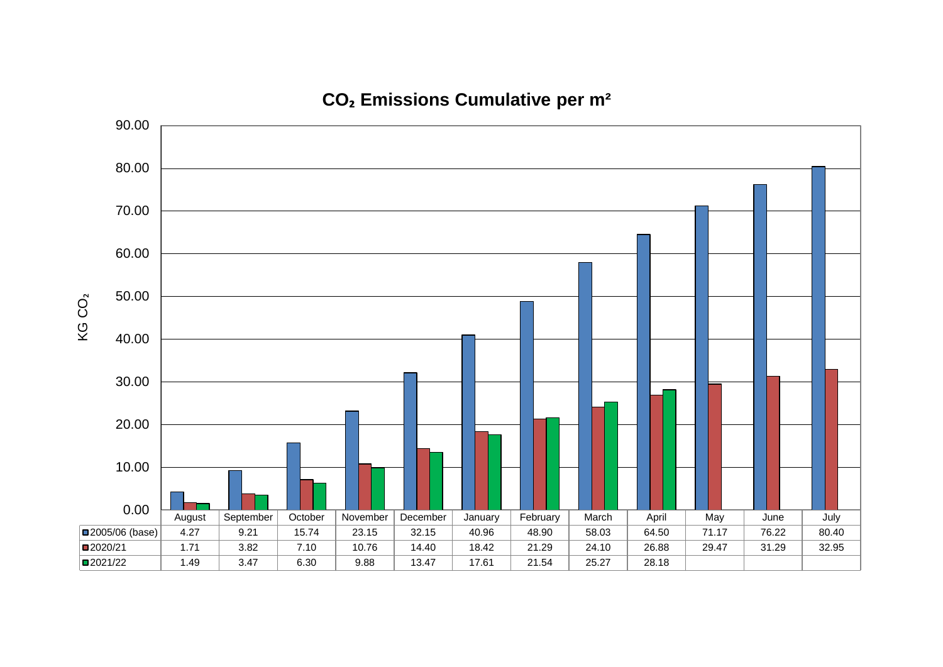

**CO₂ Emissions Cumulative per m²**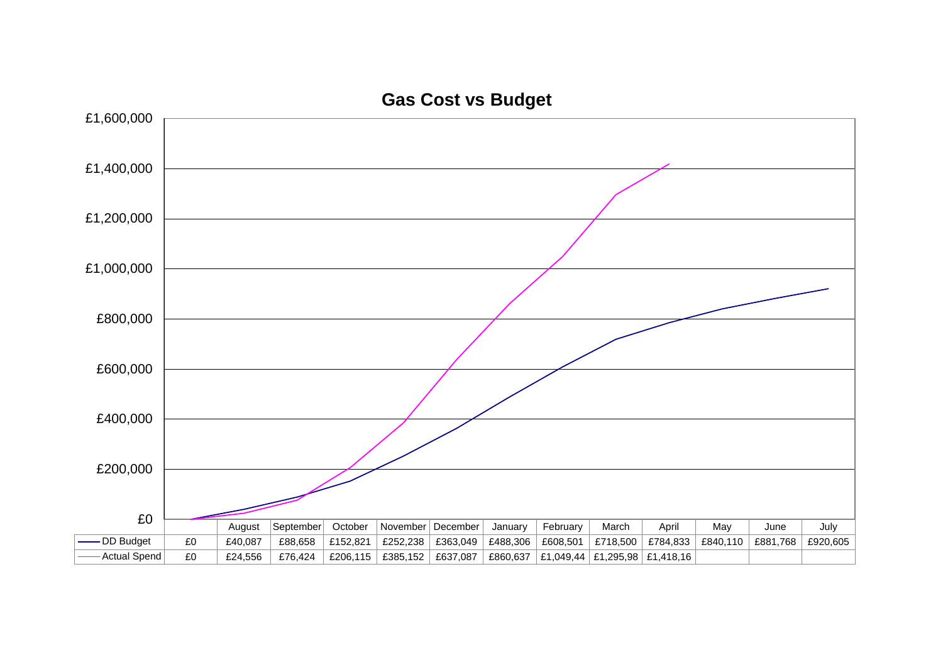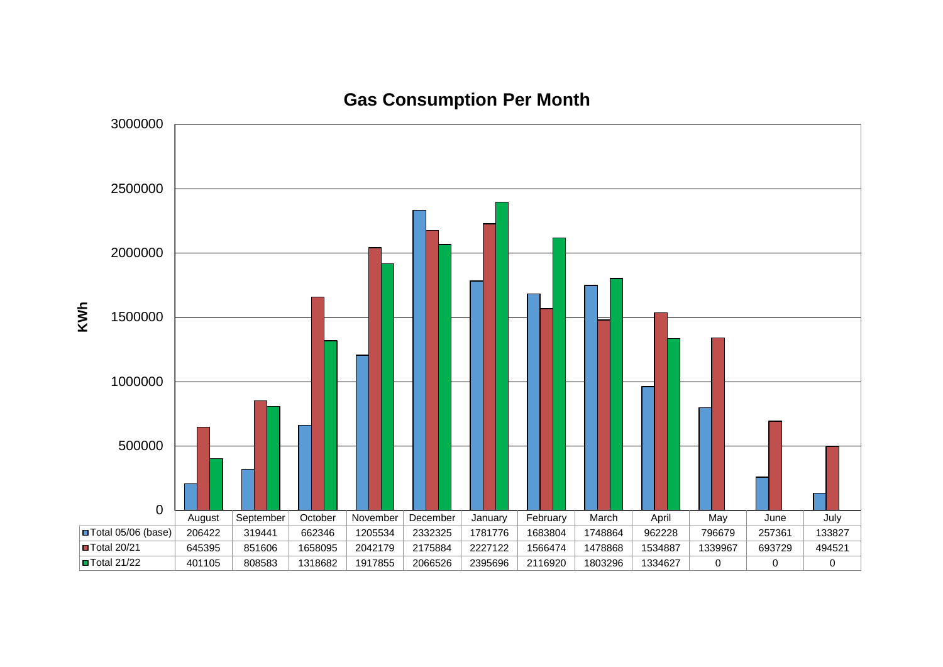

# **Gas Consumption Per Month**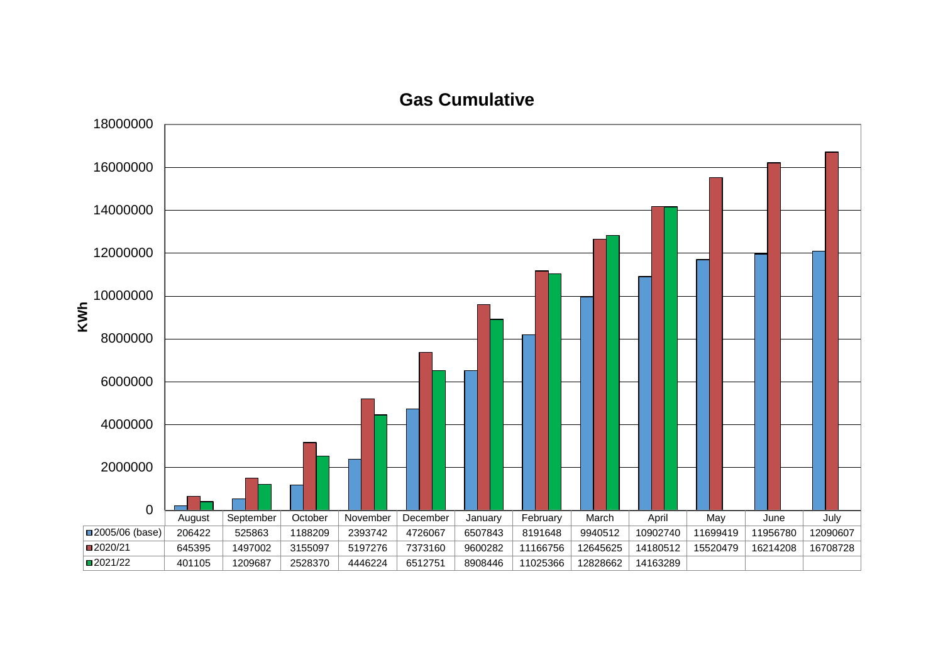# **Gas Cumulative**

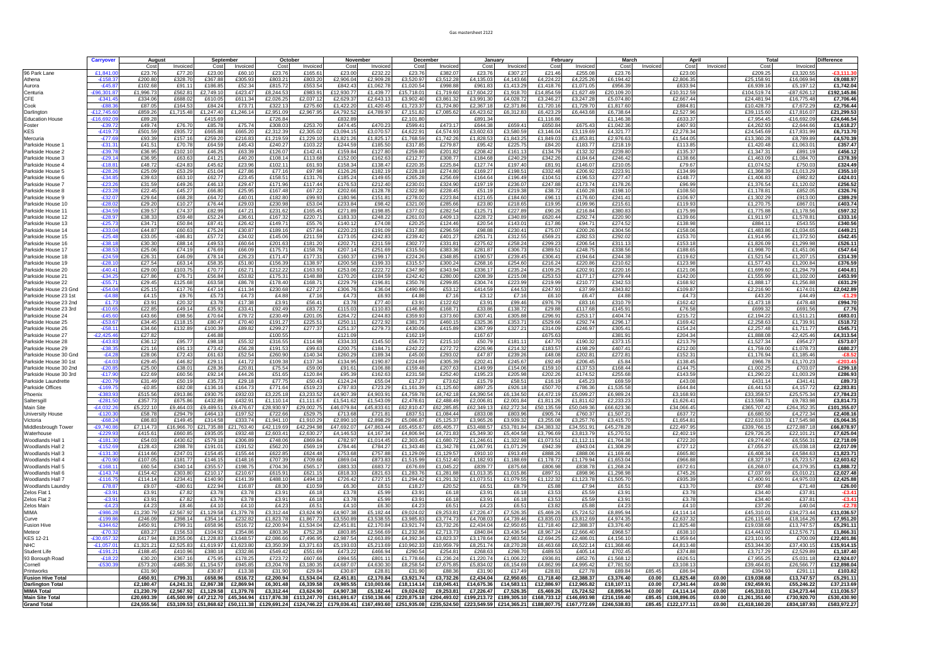#### Gas mastersheet 2122

|                                                     | Carryover                     | August               |                        | September              |                        | October                |                         | November               |                         | December                |                         | January                                                                                                                                                  |                         | February                |                         | March                   |                | April                  |                | <b>Total</b>             |                           | Difference               |
|-----------------------------------------------------|-------------------------------|----------------------|------------------------|------------------------|------------------------|------------------------|-------------------------|------------------------|-------------------------|-------------------------|-------------------------|----------------------------------------------------------------------------------------------------------------------------------------------------------|-------------------------|-------------------------|-------------------------|-------------------------|----------------|------------------------|----------------|--------------------------|---------------------------|--------------------------|
|                                                     |                               | Cos                  | Invoiced               | Cost                   | Invoiced               | Cost                   | Invoiced                | Cost                   | Invoiced                | Cost                    | Invoice                 | Cost                                                                                                                                                     | Invoiced                | Cost                    | Invoiced                | Cost                    | Invoiced       | Cost                   | Invoiced       | Cost                     | Invoice                   | $-£3.111.30$             |
| 96 Park Lane<br>Athena                              | £1.841.0<br>$-£158.3$         | £23.76<br>£200.8     | £77.2<br>£328.7        | £23.00<br>£367.88      | £60.10<br>£305.93      | £23.76<br>£803.2       | £165.6<br>£803.2        | £23.00<br>£2.906.0     | £232.22<br>£2.909.28    | £23.7<br>£3.520.9       | £382.0<br>£3,512.28     | £23.70<br>£4.135.0                                                                                                                                       | £307.2<br>£4.143.66     | £21.46<br>£4.224.2      | £255.0<br>£4.225.2      | £23.76<br>£6.194.42     |                | £23.00<br>£2.806.3     |                | £209.2<br>£25,158.9      | £3.320.5<br>£16.069.9     | £9.088.97                |
| Aurora                                              | $-E45.8$                      | £102.6               | £91.1                  | £186.85                | £52.34                 | £815.72                | £553.54                 | £842.43                | £1,062.78               | £1,020.54               | £998.8                  | £961.8                                                                                                                                                   | £1,413.2                | £1,418.76               | £1.071.05               | £956.39                 |                | £633.9                 |                | £6.939.1                 | £5,197.1                  | £1,742.04                |
| Centuria                                            | £96.301.8                     | £1.996.7             | £562.8                 | £2.749.1               | £423.4                 | £8,244.5               | £983.9                  | £12.930.7              | £1,439.7                | £15,718.0               | £1.719.6                | £17.604.2                                                                                                                                                | £1.918.7                | £14.854.5               | £1,627.4                | £20,109.2               |                | £10.312.5              |                | £104,519.7               | £87,626.1                 | £192,145.86              |
| CFE                                                 | $-£341.4$                     | £334.0               | £688.0                 | £610.05                | £611.34                | £2,026.2               | £2,037                  | £2,629.3               | £2,643.1                | £3,902.4                | £3,861.3                | £3.991.3                                                                                                                                                 | £4,028.7                | £3,246.2                | £3,247.2                | £5,074.80               |                | £2,667.44              |                | £24,481.94               | £16,775.48                | £7,706.46                |
| Cook<br>Darlington                                  | $-E88.3$<br>$-£12,745.6$      | £87.05<br>£859.2     | £164.5<br>£1,715.48    | £84.24<br>£1,247.40    | £73.71<br>£1,246.1     | £322.1<br>£2,951.09    | £275.6<br>£2,967.9      | £1,422.20<br>£4,792.52 | £1,420.45<br>£4,789.9   | £1,723.3<br>£7,151.82   | £1,724.8<br>£7,085.62   | £2,367.1<br>£6,423.6                                                                                                                                     | £2,371.86<br>£6,312.8   | £1,720.1<br>£6,423.2    | £1,729.7<br>£6.443.6    | £1,817.60<br>£6,738.64  |                | £884.8<br>£2,527.96    |                | £10,428.73<br>£39,115.60 | £7,672.2<br>£17,816.0     | £2,756.44<br>£21,299.53  |
| <b>Education House</b>                              | $-£16.692.0$                  | £89.28               |                        | £415.69                |                        | £726.84                |                         | £832.89                |                         | £2,101.80               |                         | £891.34                                                                                                                                                  |                         | £1,116.86               |                         | £1.146.38               |                | £633.3                 |                | £7,954.4                 | $-£16,692.0$              | £24,646.54               |
| Foster                                              | $-£39.7$                      | £49.74               | £76.70                 | £85.78                 | £75.74                 | £308.0                 | £253.70                 | £474.45                | £470.2                  | £599.4                  | £473.1                  | £644.3                                                                                                                                                   | £659.4                  | £650.8                  | £675.4                  | £1,042.3                |                | £407.9                 |                | £4,262.93                | £2.644.66                 | £1,618.27                |
| KES                                                 | $-£419.7$                     | £501.59              | £935.72                | £665.88                | £665.20                | £2.312.39              | £2.305.0                | £3.094.15              | £3,070.57               | £4,622.9                | £4.574.9                | £3.602.63                                                                                                                                                | £3.580.5                | £3.146.04               | £3.119.6                | £4,321.77               |                | £2.278.3               |                | £24,545.69               | £17.831.99                | £6.713.70                |
| Mercuria                                            | $-£77.6$                      | £93.39               | £157.1                 | £259.2                 | £216.83                | £1,219.59              | £1,229.1                | £1,821.2               | £1,825.1                | £1,768.5                | £1,742.2                | £1,828.5                                                                                                                                                 | £1,843.2                | £1,849.0                | £1,853.8                | £2,976.6                |                | £1,544.0               |                | £13,360.2                | £8,789.8                  | £4,570.39                |
| Parkside House<br>Parkside House 2                  | $-£31.3$<br>$-£39.7$          | £41.51<br>£36.9      | £70.78<br>£102.1       | £64.59<br>£46.25       | £45.43<br>£63.39       | £240.27<br>£126.07     | £103.2<br>£142.41       | £244.59<br>£159.8      | £185.50<br>£127.8       | £317.85<br>£259.8       | £279.87<br>£201.8       | £95.42<br>£208.42                                                                                                                                        | £225.7<br>£161.1        | £84.20<br>£134.79       | £183.77<br>£132.3       | £218.1<br>£239.80       |                | £113.8<br>£135.37      |                | £1,420.48<br>£1,347.3    | £1.063.0<br>£891.1        | £357.47<br>£456.12       |
| Parkside House 3                                    | $-E29.1$                      | £36.95               | £63.6                  | £41.21                 | £40.20                 | £108.14                | £113.6                  | £152.00                | £162.6                  | £212.7                  | £308.7                  | £184.68                                                                                                                                                  | £240.29                 | £342.26                 | £184.64                 | £246.42                 |                | £138.66                |                | £1.463.09                | £1.084.7                  | £378.39                  |
| Parkside House 4                                    | $-£18.8$                      | £48.72               | $-£24.8$               | £45.62                 | £23.96                 | £102.1                 | £61.93                  | £158.3                 | £138.4                  | £220.3                  | £225.84                 | £127.7                                                                                                                                                   | £197.40                 | £81.91                  | £146.0                  | £210.05                 |                | £79.67                 |                | £1,074.52                | £750.03                   | £324.49                  |
| Parkside House 5                                    | $-E28.2$                      | £25.09               | £53.2                  | £51.04                 | £27.86                 | £77.16                 | £97.9                   | £126.26                | £182.1                  | £228.1                  | £274.8                  | £169.2                                                                                                                                                   | £198.5                  | £332.48                 | £206.9                  | £223.91                 |                | £134.99                |                | £1.368.3                 | £1,013.29                 | £355.10                  |
| Parkside House 6                                    | $-£34.8$                      | £39.63<br>£31.59     | £63.1                  | £62.77                 | £23.45                 | £158.5                 | £131.7                  | £185.24                | £149.6                  | £265.2                  | £256.69                 | £164.64                                                                                                                                                  | £196.4                  | £104.5                  | £196.5                  | £277.47                 |                | £148.7<br>£96.99       |                | £1,406.8                 | £982.82<br>£1,120.02      | £424.01<br>£256.52       |
| Parkside House 7<br>Parkside House 8                | -£23.2<br>$-E23.2$            | £22.45               | £49.2<br>£45.2         | £46.1<br>£66.8         | £29.47<br>£25.95       | £171.96<br>£167.48     | £117.44<br>£67.2        | £176.5<br>£202.66      | £212.4<br>£128.78       | £230.0<br>£322.9        | £324.90<br>£228.4       | £197.1<br>£51.1                                                                                                                                          | £236.0<br>£219.3        | £247.8<br>£38.7         | £173.7<br>£160.2        | £178.26<br>£198.1       |                | £108.5                 |                | £1,376.54<br>£1,178.8    | £852.0                    | £326.76                  |
| Parkside House 9                                    | $-£32.07$                     | £29.64               | £68.2                  | £64.72                 | £40.0                  | £182.80                | £99.93                  | £180.96                | £151.81                 | £278.02                 | £223.84                 | £121.6                                                                                                                                                   | £184.60                 | £96.1                   | £176.60                 | £241.41                 |                | £106.97                |                | £1.302.29                | £913.00                   | £389.29                  |
| Parkside House 10                                   | $-E28.0$                      | £29.20               | £10.2                  | £76.44                 | £29.0                  | £230.98                | £53.0                   | £233.8                 | £98.42                  | £321.0                  | £285.6                  | £23.8                                                                                                                                                    | £218.6                  | £19.9                   | £199.96                 | £215.61                 |                | £119.9                 |                | £1,270.75                | £867.0                    | £403.74                  |
| Parkside House 11                                   | $-£34.5$                      | £39.57               | £74.3                  | £82.99                 | £47.21                 | £231.62                | £165.45                 | £271.89                | £198.85                 | £377.02                 | £282.54                 | £125.71                                                                                                                                                  | £227.89                 | £90.26                  | £216.8                  | £380.83                 |                | £175.99                |                | £1.775.88                | £1.178.56                 | £597.32                  |
| Parkside House 12<br>Parkside House 13              | $-E28.9$<br>$-E25.7$          | £38.33<br>£34.7      | £59.48<br>£50.8        | £52.24<br>£87.41       | £36.61<br>£26.42       | £167.32<br>£149.7      | £220.7<br>£55.7         | £183.33<br>£140.12     | £248.2<br>£74.08        | £261.0<br>£20.2         | £409.1<br>£124.4        | £228.7<br>£20.5                                                                                                                                          | £340.8<br>£143.0        | £620.44<br>£17.86       | £292.7<br>£94.7         | £220.90<br>£274.52      |                | £139.66<br>£138.98     |                | £1.911.97<br>£884.1      | £1,578.81<br>£543.55      | £333.16<br>£340.56       |
| Parkside House 14                                   | $-£33.04$                     | £44.87               | £60.6                  | £75.24                 | £30.87                 | £189.1                 | £57.84                  | £220.23                | £191.0                  | £317.80                 | £296.59                 | £98.88                                                                                                                                                   | £230.4                  | £75.07                  | £200.2                  | £304.56                 |                | £158.06                |                | £1,483.86                | £1.034.65                 | £449.21                  |
| Parkside House 15                                   | $-£25.48$                     | £33.0                | $-£86.8$               | £57.72                 | £34.02                 | £145.06                | £211.59                 | £173.05                | £242.8                  | £239.42                 | £401.2                  | £251.7                                                                                                                                                   | £312.55                 | £569.2                  | £282.5                  | £292.02                 |                | £153.7                 |                | £1.914.9                 | £1.372.50                 | £542.45                  |
| Parkside House 16                                   | $-£38.1$                      | £30.30               | £88.1                  | £49.53                 | £60.64                 | £201.63                | £181.2                  | £202.7                 | £211.5                  | £302.7                  | £331.8                  | £275.6                                                                                                                                                   | £258.2                  | £299.2                  | £206.54                 | £311.1                  |                | £153.1                 |                | £1,826.09                | £1,299.98                 | £526.11                  |
| Parkside House 1                                    | $-£38.5$                      | £25.06               | £74.1                  | £76.69                 | £66.0                  | £175.7                 | £158.7                  | £207.1                 | £251.6                  | £315.50                 | £383.36                 | £281.8                                                                                                                                                   | £306.7                  | £389.5                  | £248.7                  | £338.56                 |                | £188.65                |                | £1,998.70                | £1,451.06                 | £547.64                  |
| Parkside House 18<br>Parkside House 19              | $-E24.5$<br>$-£28.7$          | £26.3<br>£27.54      | £46.0<br>£63.1         | £78.14<br>£58.35       | £26.2<br>£51.80        | £171.47<br>£156.3      | £177.3<br>£138.9        | £160.3<br>£200.58      | £199.1<br>£199.3        | £224.20<br>£315.5       | £348.8<br>£300.2        | £190.5<br>£268.1                                                                                                                                         | £239.45<br>£254.60      | £306.4<br>£216.2        | £194.64<br>£220.8       | £244.38<br>£210.62      |                | £119.62<br>£123.98     |                | £1,521.54<br>£1,577.43   | £1,207.1<br>£1.200.84     | £314.39<br>£376.59       |
| Parkside House 20                                   | $-E40.4$                      | £29.00               | £103.7                 | £70.77                 | £62.71                 | £212.22                | £163.9                  | £253.06                | £222.7                  | £347.90                 | £343.94                 | £336.1                                                                                                                                                   | £235.2                  | £109.2                  | £202.9                  | £220.16                 |                | £121.06                |                | £1,699.60                | £1,294.7                  | £404.81                  |
| Parkside House 21                                   | $-£34.2$                      | £27.86               | £76.7                  | £56.84                 | £53.82                 | £175.3                 | £148.8                  | £170.20                | £184.59                 | £242.42                 | £280.00                 | £208.3                                                                                                                                                   | £215.08                 | £253.53                 | £177.1                  | £279.44                 |                | £142.00                |                | £1,555.99                | £1,102.00                 | £453.99                  |
| Parkside House 22                                   | $-£55.7$                      | £29.45               | £125.6                 | £63.58                 | £86.78                 | £178.40                | £168.7                  | £229.79                | £196.8                  | £350.7                  | £299.8                  | £304.74                                                                                                                                                  | £223.9                  | £219.99                 | £210.7                  | £342.5                  |                | £168.92                |                | £1.888.1                 | £1,256.8                  | £631.29                  |
| Parkside House 23 Gno                               | $-£54.04$                     | £25.1                | £17.76                 | £47.14                 | £11.34                 | £230.68                | £27.27                  | £306.76                | £36.04                  | £490.9                  | £53.1                   | £414.59                                                                                                                                                  | £44.5                   | £247.93                 | £37.99                  | £343.82                 |                | £109.87                |                | £2,216.90                | £174.0                    | £2,042.89                |
| Parkside House 23 1st<br>Parkside House 23 2nd      | $-E4.8$<br>£1.7               | £4.15<br>£3.91       | £9.76<br>£20.3         | £5.73<br>£3.78         | £4.73<br>£17.38        | £4.88<br>£3.91         | £7.1<br>£56.41          | £4.73<br>£3.78         | £6.93<br>£77.40         | £4.88<br>£3.9           | £7.16<br>£122.6         | £3.12<br>£3.91                                                                                                                                           | £7.16<br>£99.46         | £6.10<br>£976.79        | £6.47<br>£83.1          | £4.88<br>£310.79        |                | £4.7<br>£162.4         |                | £43.20<br>£1,473.18      | £44.49<br>£478.48         | $-£1.29$<br>£994.70      |
| Parkside House 23 3rd                               | $-£10.65$                     | £22.85               | £49.1                  | £35.92                 | £33.41                 | £92.49                 | £83.72                  | £115.03                | £110.83                 | £146.8                  | £168.7                  | £33.86                                                                                                                                                   | £138.72                 | £29.88                  | £117.68                 | £145.91                 |                | £76.58                 |                | £699.32                  | £691.56                   | £7.76                    |
| Parkside House 24                                   | $-£45.6$                      | £43.6                | £98.5                  | £70.64                 | £79.72                 | £230.49                | £201.0                  | £264.72                | £244.8                  | £359.9                  | £373.6                  | £307.4                                                                                                                                                   | £305.8                  | £296.9                  | £253.1                  | £404.74                 |                | £215.7                 |                | £2,194.22                | £1,511.2                  | £683.01                  |
| Parkside House 25                                   | $-£53.6$                      | £34.45               | £118.1                 | £80.47                 | £70.40                 | £191.27                | £225.5                  | £250.1                 | £272.92                 | £381.7                  | £460.1                  | £325.36                                                                                                                                                  | £353.7                  | £529.66                 | £292.7                  | £296.1                  |                | £169.4                 |                | £2,258.63                | £1,739.91                 | £518.72                  |
| Parkside House 26<br>Parkside House 27              | $-£58.1$<br>$-E2,425.4$       | £34.66<br>£27.82     | £132.8                 | £100.39<br>£46.88      | £89.82                 | £299.27<br>£100.55     | £277.37                 | £251.3<br>£121.09      | £279.7                  | £430.06<br>£162.1       | £415.89                 | £367.99<br>£167.6                                                                                                                                        | £327.2                  | £314.09<br>£675.6       | £246.97                 | £305.4<br>£381.9        |                | £154.2<br>£204.3       |                | £2,257.48<br>£1.888.08   | £1,711.77<br>$-£2,425.46$ | £545.71<br>£4,313.54     |
| Parkside House 28                                   | $-£43.8$                      | £36.1                | £95.77                 | £98.1                  | £55.32                 | £316.55                | £114.98                 | £334.33                | £145.50                 | £56.7                   | £215.1                  | £50.7                                                                                                                                                    | £181.1                  | £47.70                  | £190.3                  | £373.15                 |                | £213.7                 |                | £1,527.34                | £954.27                   | £573.07                  |
| Parkside House 29                                   | -£38.3                        | £21.1                | £91.1                  | £73.42                 | £56.28                 | £191.53                | £99.6                   | £200.75                | £184.7                  | £242.22                 | £272.72                 | £226.9                                                                                                                                                   | £214.3                  | £183.5                  | £198.2                  | £407.41                 |                | £212.00                |                | £1,759.00                | £1,078.73                 | £680.27                  |
| Parkside House 30 Gnd                               | $-E4.2$                       | £28.0                | £72.4                  | £61.63                 | £52.54                 | £260.90                | £140.34                 | £260.29                | £189.34                 | £45.0                   | £293.02                 | £47.87                                                                                                                                                   | £239.2                  | £48.0                   | £202.8                  | £272.81                 |                | £152.3                 |                | £1.176.94                | £1.185.46                 | $-£8.52$                 |
| Parkside House 30 1st                               | $-E4.0$<br>$-£20.8$           | £29.45<br>£25.00     | £46.8<br>£38.0         | £29.11<br>£28.36       | £41.72<br>£20.81       | £109.38<br>£75.54      | £137.34<br>£59.0        | £134.95<br>£91.6       | £190.8<br>£106.8        | £224.69<br>£159.48      | £305.39<br>£207.6       | £202.4<br>£149.99                                                                                                                                        | £245.6<br>£154.0        | £92.49<br>£159.1        | £206.45<br>£137.5       | £5.84<br>£168.44        |                | £138.4<br>£144.7       |                | £966.7<br>£1.002.2       | £1,170.2<br>£703.07       | $-£203.45$<br>£299.18    |
| Parkside House 30 2nd<br>Parkside House 30 3rd      | $-£17.90$                     | £22.69               | £60.56                 | £92.14                 | £44.26                 | £51.65                 | £120.84                 | £95.39                 | £162.6                  | £231.58                 | £252.4                  | £195.2                                                                                                                                                   | £205.9                  | £202.26                 | £174.52                 | £255.68                 |                | £143.59                |                | £1.290.22                | £1,003.29                 | £286.93                  |
| Parkside Laundrette                                 | $-E20.7$                      | £31.49               | £50.1                  | £35.73                 | £29.18                 | £77.75                 | £50.43                  | £124.24                | £55.04                  | £17.2                   | £73.62                  | £15.7                                                                                                                                                    | £58.5                   | £16.1                   | £45.2                   | £69.59                  |                | £43.08                 |                | £431.14                  | £341.41                   | £89.73                   |
| Parkside Offices                                    | $-£169.7$                     | $-£0.85$             | £82.0                  | £136.16                | £164.73                | £771.64                | £519.2                  | £787.8                 | £723.29                 | £1,161.3                | £1,125.6                | £897.2                                                                                                                                                   | £926.1                  | £507.7                  | £786.3                  | £1,535.58               |                | £644.8                 |                | £6.441.53                | £4,157.72                 | £2,283.81                |
| Phoenix                                             | $-£383.9$                     | £515.56              | £913.8<br>£675.8       | £930.75<br>£432.8      | £932.03<br>£432.9      | £3.225.1               | £3,233.52               | £4.907.39<br>£1.541.6  | £4,903.9<br>£1.543.0    | £4,759.7<br>£2.478.6    | £4,742.1                | £4,390.5<br>£2.006.8                                                                                                                                     | £6,134.50               | £4,472.1                | £5.099.2<br>£1.811.     | £6,989.24               |                | £3,168.9<br>£1.626.4   |                | £33.359.5<br>£13.598.7   | £25.575.3<br>£9.783.9     | £7,784.23<br>£3,814.73   |
| Saltersgil<br>Main Site                             | $-£281.5$<br>$-E4.032.2$      | £357.7<br>£5.222.1   | £9.464.0               | £9.489.51              | £9.476.67              | £1,110<br>£28.930.9    | £1,111.6<br>£29,002.75  | £46.079.84             | £45,833.6               | £62.810.47              | £2,488.4<br>£62.285.8   | £62.349.1                                                                                                                                                | £2,001.<br>£62,272.3    | £1,811.2<br>£50.135.59  | £50.049.36              | £2,233.2<br>£66,623.36  |                | £34,066.45             |                | £365.707.42              | £264.352.35               | £101,355.07              |
| <b>University House</b>                             | $-£120.30$                    | £58.78               | £294.79                | £464.13                | £197.52                | £722.66                | £529.75                 | £713.68                | £721.81                 | £837.51                 | £1,084.44               | £833.08                                                                                                                                                  | £803.96                 | £905.74                 | £760.37                 | £1,507.21               |                | £637.72                |                | £6,680.50                | £4,272.34                 | £2,408.16                |
| Victoria                                            | $-£68.2$                      | £86.83               | £149.45                | £314.58                | £333.74                | £1,941.10              | £1,910.29               | £2,890.10              | £2,898.29               | £5,086.87               | £5,125.37               | £3,965.26                                                                                                                                                | £3,939.32               | £3,255.08               | £3,257.7                | £3,415.70               |                | £1,654.8               |                | £22,610.33               | £17,545.98                | £5,064.35                |
| Middlesbrough Tower                                 | $-£9,740.8$                   | £7,114.73            | £16,966.70             | £21,735.88             | £21,763.40             | £42,119.69             | £42,294.98              | £47,692.07             | £47,863.44              | £65,455.67              | £65,405.77              | £53,488.57                                                                                                                                               | £53,781.84              | £34,383.32              | £34,551.9               | £45,278.28              |                | £22,497.95             |                | £339,766.15              | £272,887.18               | £66,878.97               |
| Waterhouse<br>Woodlands Hall 1                      | $-£229.93$<br>$-£181.30$      | £415.61<br>£54.03    | £660.85<br>£430.62     | £935.05<br>£579.18     | £932.48<br>£306.89     | £2.603.41<br>£748.06   | £2.630.27<br>£869.84    | £4.146.53<br>£782.97   | £4,167.34<br>£1,014.45  | £4.806.94<br>£2,303.45  | £4,721.83<br>£1,680.72  | £5,349.30<br>£1,246.61                                                                                                                                   | £5,404.58<br>£1,322.98  | £3.796.69<br>£1,073.51  | £3.813.7<br>£1,112.11   | £5,270.51<br>£1,764.38  |                | £2,402.19<br>£722.20   |                | £29,726.25<br>£9,274.40  | £22.101.21<br>£6,556.31   | £7,625.04<br>£2,718.09   |
| Woodlands Hall 2                                    | $-£152.69$                    | £128.43              | £288.7                 | £191.01                | £191.52                | £562.20                | £569.1                  | £784.46                | £784.27                 | £1,343.48               | £1,342.78               | £1,067.9                                                                                                                                                 | £1,071.2                | £942.39                 | £943.0                  | £1,308.29               |                | £727.12                |                | £7,055.27                | £5,038.18                 | £2,017.09                |
| Woodlands Hall 3                                    | $-£131.30$                    | £114.66              | £247.0                 | £154.45                | £155.44                | £622.85                | £624.48                 | £753.68                | £757.88                 | £1.129.09               | £1,129.57               | £910.10                                                                                                                                                  | £913.49                 | £888.26                 | £888.0                  | £1,169.46               |                | £665.80                |                | £6,408.34                | £4.584.63                 | £1,823.71                |
| Woodlands Hall 4                                    | $-£70.90$                     | £107.05              | £181.77                | £146.15                | £148.16                | £707.39                | £709.68                 | £869.04                | £873.83                 | £1,515.99               | £1,512.40               | £1,182.93                                                                                                                                                | £1,188.69               | £1,178.72               | £1,179.9                | £1,653.04               |                | £966.88                |                | £8,327.19                | £5,723.57                 | £2,603.62                |
| Woodlands Hall 5<br>Woodlands Hall 6                | $-£168.11$<br>$-£143.74$      | £60.54<br>£154.42    | £340.14<br>£303.8      | £355.57<br>£210.17     | £198.75<br>£210.67     | £704.36<br>£615.9      | £565.17<br>£621.15      | £883.33<br>£818.33     | £683.72<br>£821.63      | £676.69<br>£1,283.7     | £1,045.22<br>£1,281.88  | £839.77<br>£1,013.35                                                                                                                                     | £875.68<br>£1,015.86    | £806.98<br>£897.51      | £838.7<br>£898.9        | £1,268.24<br>£1,298.98  |                | £672.61<br>£745.26     |                | £6,268.07<br>£7,037.69   | £4,379.35<br>£5,010.21    | £1,888.72<br>£2,027.48   |
| Woodlands Hall 7                                    | $-£116.7$                     | £114.14              | £234.4                 | £140.90                | £141.39                | £488.1                 | £494.18                 | £726.42                | £727.15                 | £1,294.42               | £1,291.32               | £1,073.51                                                                                                                                                | £1,079.55               | £1,122.32               | £1,123.7                | £1,505.70               |                | £935.39                |                | £7,400.91                | £4,975.03                 | £2,425.88                |
| <b>Woodlands Laundry</b>                            | £78.87                        | £9.07                | $-£80.6'$              | £22.94                 | £16.87                 | £8.30                  | £10.59                  | £6.30                  | £8.51                   | £18.27                  | £20.52                  | £6.51                                                                                                                                                    | £8.79                   | £5.88                   | £7.94                   | £6.51                   |                | £13.70                 |                | £97.48                   | £71.48                    | £26.00                   |
| Zelos Flat 1                                        | $-E3.9'$                      | £3.91                | £7.82                  | £3.78                  | £3.78                  | £3.91                  | £6.18                   | £3.78                  | £5.99                   | £3.91                   | £6.18                   | £3.91                                                                                                                                                    | £6.18                   | £3.53                   | £5.59                   | £3.91                   |                | £3.78                  |                | £34.40                   | £37.81                    | $-£3.41$                 |
| Zelos Flat 2                                        | $-£3.91$                      | £3.91                | £7.82                  | £3.78                  | £3.78                  | £3.91                  | £6.18                   | £3.78                  | £5.99                   | £3.91                   | £6.18                   | £3.91                                                                                                                                                    | £6.18                   | £3.53                   | £5.59                   | £3.91                   |                | £3.78                  |                | £34.40                   | £37.81                    | $-£3.41$                 |
| Zelos Main<br>MIMA                                  | $-E4.23$<br>$-£986.2$         | £4.23<br>£1,230.79   | £8.46<br>£2,567.92     | £4.10<br>£1,129.58     | £4.10<br>£1,379.78     | £4.23<br>£3,312.44     | £6.51<br>£3,624.90      | £4.10<br>£4,907.38     | £6.30<br>£5,182.44      | £4.23<br>£9,024.02      | £6.51<br>£9,253.81      | £4.23<br>£7,226.47                                                                                                                                       | £6.51<br>£7,526.35      | £3.82<br>£5,469.26      | £5.88<br>£5,724.52      | £4.23<br>£8,895.94      |                | £4.10<br>£4,114.14     |                | £37.26<br>£45,310.01     | £40.04<br>£34,273.44      | $-£2.78$<br>£11,036.57   |
| Curve                                               | $-E199.8$                     | £246.09              | £398.1                 | £354.14                | £232.82                | £1.823.78              | £1,867.73               | £3.550.89              | £3,538.55               | £3.985.83               | £3,774.73               | £4,708.03                                                                                                                                                | £4,739.46               | £3,835.03               | £3.812.69               | £4,974.35               |                | £2,637.32              |                | £26,115.46               | £18,164.26                | £7,951.20                |
| <b>Fusion Hive</b>                                  | $-£344.6$                     | £450.91              | £799.3                 | £658.96                | £516.72                | £2,200.94              | £1,534.04               | £2,451.8               | £2,170.84               | £3,921.74               | £3,732.26               | £2,434.04                                                                                                                                                | £2,950.6                | £1,718.40               | £2,388.3                | £3,376.40               |                | £1,825.48              |                | £19,038.68               | £13,747.57                | £5,291.11                |
| Meteor                                              | $-£70.32$                     | £83.27               | £156.5                 | £104.92                | £354.86                | £803.36                | £752.28                 | £803.85                | £2,566.69               | £1,232.86               | £2,713.7                | £840.84                                                                                                                                                  | £3,436.5                | £8,967.2                | £2.666.40               | £968.57                 |                | £638.1                 |                | £14,443.02               | £12,576.71                | £1,866.31                |
| <b>KES 12-21</b><br><b>NHC</b>                      | $-£30.657.32$<br>$-£1,057.01$ | £417.94<br>£1,321.21 | £8,255.06<br>£2,525.83 | £1,228.83<br>£1,619.97 | £3,648.57<br>£1,623.80 | £2,086.66<br>£3,350.39 | £7.496.95<br>£3,371.63  | £2.987.54              | £2,663.89<br>£5,213.69  | £4,392.34<br>£10,962.33 | £3,823.37<br>£10,959.79 | £3,178.64<br>£8,251.74                                                                                                                                   | £2,983.56               | £2,694.25               | £2,486.01<br>£6,522.14  | £4,156.10<br>£11,368.46 |                | £1,959.64<br>£4,813.48 |                | £23,101.95<br>£53,344.30 | £700.09<br>£37,430.15     | £22,401.86<br>£15,914.15 |
| <b>Student Life</b>                                 | $-£191.21$                    | £188.45              | £410.96                | £380.18                | £332.86                | £549.42                | £551.69                 | £5,193.03<br>£473.22   | £466.94                 | £290.54                 | £254.8                  | £268.6                                                                                                                                                   | £8,270.28<br>£298.70    | £6,463.68<br>£489.53    | £405.1                  | £702.45                 |                | £374.88                |                | £3.717.29                | £2,529.89                 | £1,187.40                |
| 93 Borough Road                                     | $-£18.22$                     | £30.20               | £367.16                | £75.95                 | £178.25                | £723.72                | £607.66                 | £994.55                | £801.11                 | £1,778.66               | £1,236.24               | £1,220.74                                                                                                                                                | £1,006.22               | £936.81                 | £852.76                 | £1,568.12               |                | £626.51                |                | £7,955.25                | £5,031.18                 | £2,924.07                |
| Cornell                                             | $-£530.3$                     | £573.2               | $-E485.3$              | £1,154.57              | £945.85                | £3,204.78              | £3,180.3                | £4,687.0               | £4,630.3                | £8,258.54               | £7,675.8                | £5,834.0                                                                                                                                                 | £6,154.69               | £4,862.99               | £4,995.42               | £7,781.50               |                | £3,108.13              |                | £39,464.81               | £26,566.77                | £12,898.04               |
| Printworks                                          |                               | £31.90               |                        | £30.87                 | £13.38                 | £31.90                 | £29.84                  | £30.87                 | £28.81                  | £31.90                  | £88.36                  | £31.90                                                                                                                                                   | £17.49                  | £28.81                  | £27.78                  | £89.84                  | £85.45         | £86.94                 |                | £394.93                  | £291.11                   | £103.82                  |
| <b>Fusion Hive Total</b><br><b>Darlington Total</b> |                               | £450.91<br>£2.180.47 | £799.31<br>£4,241.31   | £658.96<br>£2,867.38   | £516.72<br>£2,869.94   | £2,200.94<br>£6,301.48 | £1,534.04<br>£6,339.58  | £2,451.81<br>£9,985.55 | £2,170.84<br>£10,003.66 | £3,921.74<br>£18,114.14 | £3,732.26<br>£18,045.41 | £2,434.04<br>£14,675.36                                                                                                                                  | £2,950.65<br>£14,583.11 | £1,718.40<br>£12,886.97 | £2,388.37<br>£12,965.82 | £3,376.40<br>£18,107.11 | £0.00<br>£0.00 | £1,825.48<br>£7,341.44 | £0.00<br>£0.00 | £19,038.68<br>£92.459.91 | £13,747.57<br>£55,246.22  | £5,291.11<br>£37.213.69  |
| <b>MIMA Total</b>                                   |                               | £1,230.79            | £2,567.92              | £1,129.58              | £1,379.78              | £3,312.44              | £3,624.90               | £4,907.38              | £5,182.44               | £9,024.02               | £9,253.81               | £7,226.47                                                                                                                                                | £7,526.35               | £5,469.26               | £5,724.52               | £8,895.94               | £0.00          | £4,114.14              | £0.00          | £45,310.01               | £34,273.44                | £11,036.57               |
| <b>Main Site Total</b>                              |                               | £20.693.39           | £45.500.99             |                        | £47,212.70 £45,344.94  |                        | £117,876.38 £113,247.70 |                        | £161,691.67 £150,136.66 | £220,875.18             |                         | £204,493.02 £199,213.72 £189,305.10 £168,733.12                                                                                                          |                         |                         | £146.693.98             | £216,159.40             |                | £85.45 £108,896.05     | £0.00          | £1,261,351.60            | £730,920.70               | £530,430.90              |
| <b>Grand Total</b>                                  |                               | £24,555.56           |                        |                        |                        |                        |                         |                        |                         |                         |                         | £53,109.53 £51,868.62 £50,111.38 £129,691.24 £124,746.22 £179,036.41 £167,493.60 £251,935.08 £235,524.50 £223,549.59 £214,365.21 £188,807.75 £167,772.69 |                         |                         |                         | £246,538.83             |                | £85.45 £122,177.11     | £0.00          | £1,418,160.20            | £834,187.93               | £583,972.27              |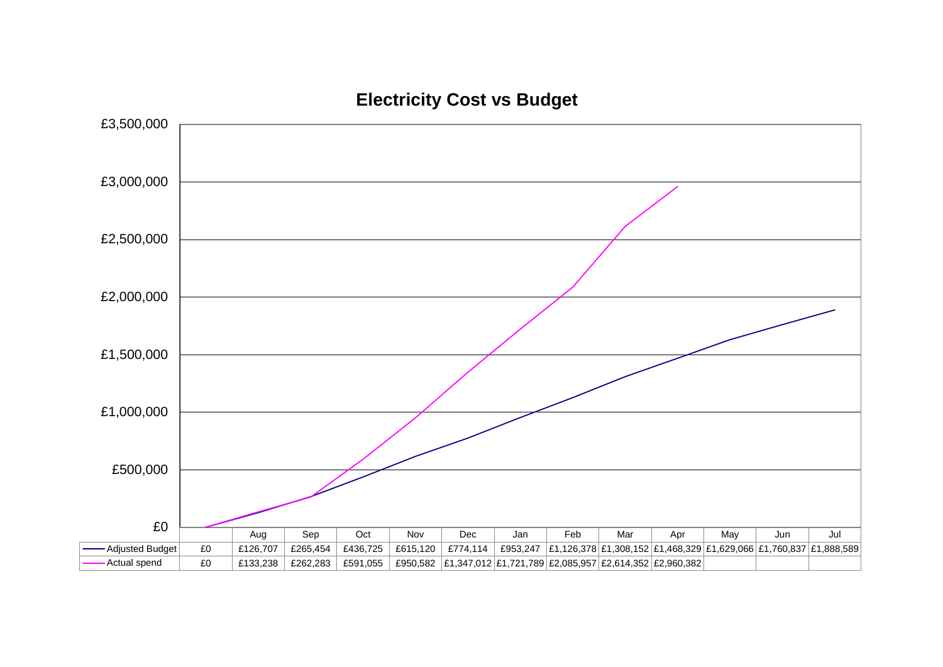

**Electricity Cost vs Budget**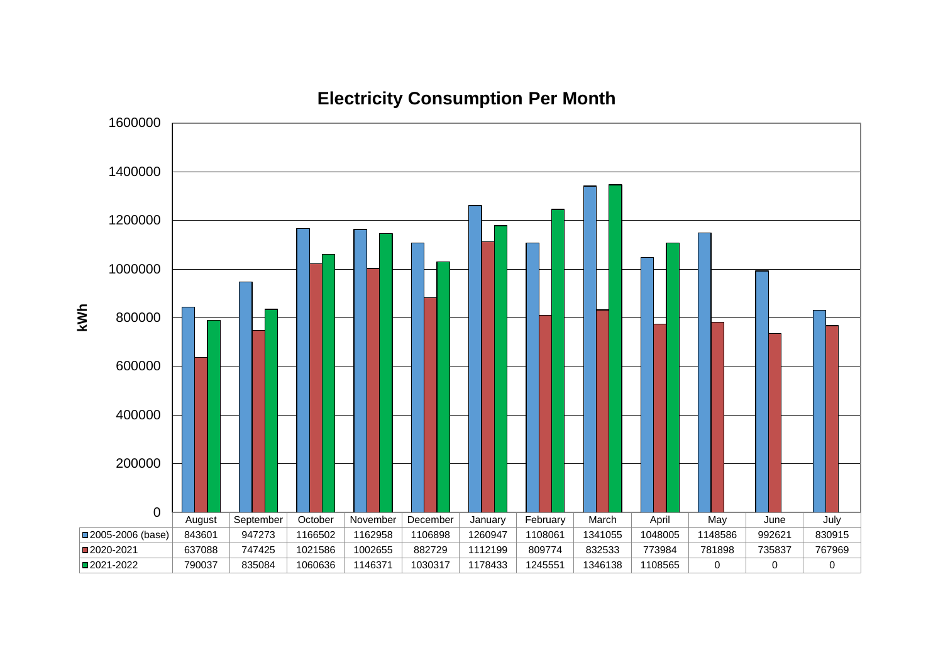

# **Electricity Consumption Per Month**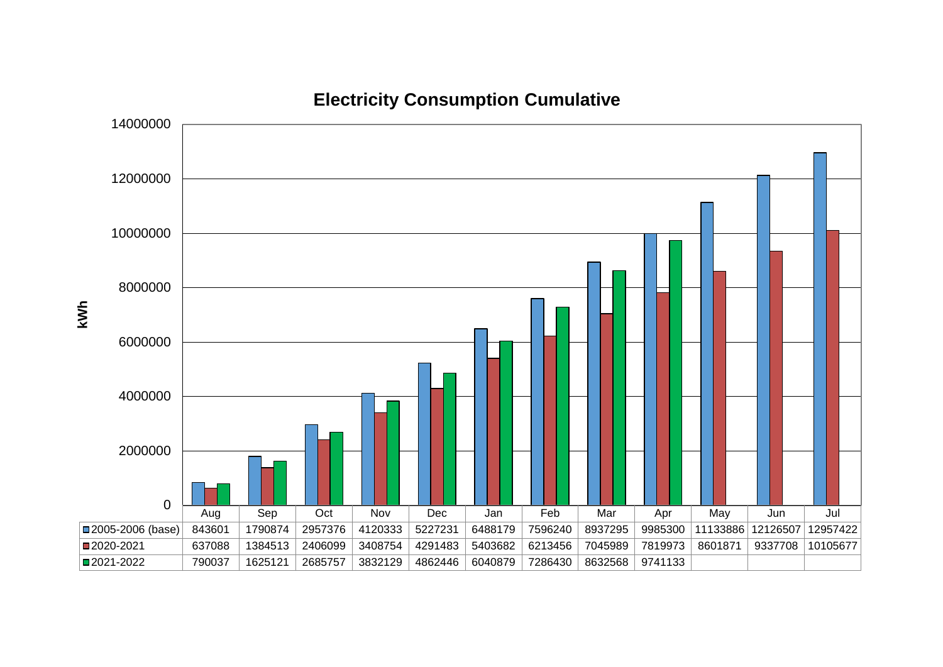

**Electricity Consumption Cumulative**

**kWh**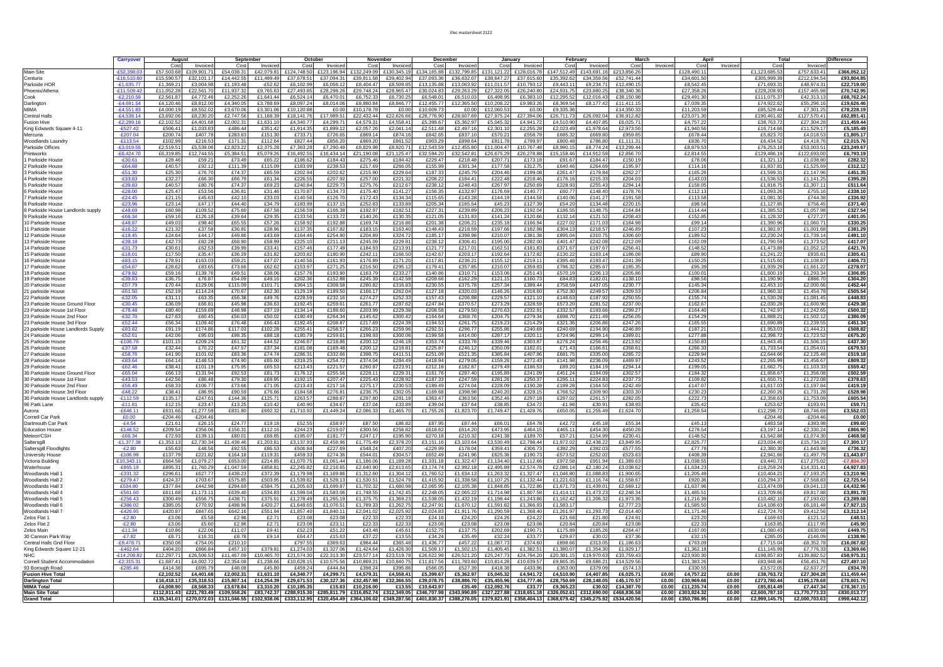#### Elec mastersheet 2122

|                                                            | <b>Carryover</b>           | August                     |                        | September               |                        | October                                                                             |                        | November                            |                        | December               |                         | Januarv               |                        | February                                                                                           |                          |                          | March<br>Apri |                                        |                | Total                          |                                | Difference                 |
|------------------------------------------------------------|----------------------------|----------------------------|------------------------|-------------------------|------------------------|-------------------------------------------------------------------------------------|------------------------|-------------------------------------|------------------------|------------------------|-------------------------|-----------------------|------------------------|----------------------------------------------------------------------------------------------------|--------------------------|--------------------------|---------------|----------------------------------------|----------------|--------------------------------|--------------------------------|----------------------------|
| <b>Main Site</b>                                           | £52.398                    | Cost<br>£57,503.68         | Invoiced<br>£109.901.7 | Cost<br>£54.038.31      | Invoiced<br>£42.079.81 | Cost<br>£124,748.50                                                                 | Invoiced<br>£123.196.9 | Cos<br>£132,249.0                   | Invoiced<br>£130,345.1 | Cost<br>£134.165.88    | Invoice<br>£132,799.85  | Cost<br>£131,121.2    | Invoice<br>£128,016.78 | Cost<br>£147,512.49                                                                                | Invoiced<br>£143.691.16  | Cost<br>£213.856.26      | Invoiced      | Cost<br>£128,490.11                    | Invoiced       | Cost<br>£1.123.685.5           | Invoice<br>£757,633.4          | £366,052.12                |
| Centuria                                                   | $-£16.510$                 | £15,590.5                  | £32,101.1              | £14.442.55              | £11.499.4              | £37.678.5                                                                           | £37.094.               | £39.811.                            | £39.402.9              | £37.093.               | £36,632.0               | £38,647.2             | £37.615.6              | £35.392.6                                                                                          | £34.359.56               | £52.741.44               |               | £34.601.50                             |                | £305.999.                      | £212,194.5                     | £93.804.85                 |
| Parkside HOR                                               | $-E1.635.7$                | £1.369.2                   | £3.004.9               | £1.193.48               | $-£52.62$              | £6,102.9                                                                            | £6,056.                | £8,404.4                            | £8,509.8               | £13,135.8              | £13.063.                | £11.011.5             | £10.793.1              | £9.443.1                                                                                           | £9,234.7                 | £12,490.15               |               | £8,542.45                              |                | £71,693.3                      | £48,974.3                      | £22,719.00                 |
| Phoenix/Athena<br>Cook                                     | £11,509.4<br>$-E2.210.59$  | £11,052.2<br>£2.561.8      | £22,561.7<br>£4.772.4  | £11,937.32<br>£2.252.26 | £9,765.63<br>£1.641.44 | £27,493.85<br>£6.524.14                                                             | £28,298.2<br>£6,470.0  | £29,748.2<br>£6.752.3               | £28,965.4<br>£6.730.2  | £30,024.8<br>£6.548.0  | £29,263.2<br>£6,510.0   | £27,322.0<br>£6,498.9 | £26,240.8<br>£6,383.1  | £24,931.7<br>£12,295.52                                                                            | £23,880.25<br>£12.016.43 | £38,340.36<br>£38.150.98 |               | £27,358.2<br>£29.491.30                |                | £228,208.9<br>£111.075.3       | £157,465.9<br>£42,313.1        | £70,742.95<br>£68.762.24   |
| Darlington                                                 | $-£4.691.54$               | £4,120.4                   | £8,812.0               | £4,340.05               | £3,788.6               | £8,097.24                                                                           | £8,014.06              | £8,880.8                            | £8.846.7               | £12,455.7              | £12,365.50              | £10,208.2             | £9,983.2               | £8,369.54                                                                                          | £8,177.42                | £11,411.15               |               | £7,039.3                               |                | £74,922.6                      | £55,296.1                      | £19,626.46                 |
| MIMA                                                       | $-E4,551.8$                | £4,000.1                   | £8,552.0               | £3,670.06               | £3,301.0               | £10,120.88                                                                          | £0.00                  | £10,178.7                           | £0.                    | £10,609.7              | £0.0                    | £12,060.5             | £0.00                  | £9,335.36                                                                                          |                          | £14,350.3                |               | £11,203.5                              |                | £85,529.4                      | £7,301.2                       | £78,228.19                 |
| <b>Central Halls</b><br><b>Fusion Hive</b>                 | $-E4.538.1$<br>E2.299.1    | £3,692.0<br>£2.102.5       | £8,230.2<br>£4.401.68  | £2.747.56<br>£2.002.31  | £1.168.3<br>£1.631.1   | £18,141.70<br>£4.340.77                                                             | £17.989.<br>£4.299.7   | £22,432.4<br>£4.579.3               | £22,626.6<br>£4.558.4  | £28,776.9<br>£5.399.6  | £28.607.<br>£5.362.9    | £27.975.2<br>£5.045.3 | £27,394.0<br>£4.941.72 | £26,711.7<br>£4.510.90                                                                             | £26,092.0<br>£4.407.85   | £36,912.82<br>£6,025.7   |               | £23,071.3<br>£4.757.22                 |                | £190,461<br>£38.763.7          | £127,570.4<br>£27.304.2        | £62,891.41<br>£11.459.44   |
| King Edwards Square 4-11                                   | $-£527.42$                 | £506.4                     | £1,033.8               | £486.44                 | £351.42                | £1,914.35                                                                           | £1.899.1               | £2,057.2                            | £2.041.                | £2,511.48              | £2.497.                 | £2,301.1              | £2,255.28              | £2,023.49                                                                                          | £1,978.64                | £2,973.56                |               | £1.940.56                              |                | £16,714.6                      | £11,529.1                      | £5,185.49                  |
| Mercuria                                                   | $-E207.04$                 | £200.7                     | £407.7                 | £283.63                 | £151.3                 | £733.7                                                                              | £726.6                 | £869.1                              | £874.1                 | £842.65                | £837.                   | £570.2                | £558.7                 | £685.3                                                                                             | £669.8                   | £959.85                  |               | £678.44                                |                | £5,823.7                       | £4,018.5                       | £1,805.17                  |
| Woodlands Laundry<br>Parkside Offices                      | $-£113.54$<br>$-£3,019.55$ | £102.9<br>£2,519.5         | £216.5<br>£5,539.0     | £171.31<br>£2,823.22    | £112.64<br>£2,375.2    | £827.44<br>£7,363.28                                                                | £856.2<br>£7,290.49    | £869.2<br>£8,829.9                  | £861.5<br>£8,820.7     | £903.29<br>£12,543.5   | £898.6<br>£12,455.80    | £811.7<br>£11,004.4   | £799.97<br>£10,767.48  | £800.48<br>£8,990.1                                                                                | £786.80<br>£8,774.24     | £1,111.3<br>£13,299.44   |               | £836.7<br>£8.879.5                     |                | £6,434.5<br>£76,253.1          | £4.418.7<br>£53,003.5          | £2,015.76<br>£23,249.67    |
| Printworks                                                 | $-£6,424.7$                | £6,319.8                   | £12,744.5              | £5,384.51               | £5,079.2               | £16,492.55                                                                          | £16,434.               | £21,190.0                           | £21,125.4              | £32,594.2              | £32,542.8               | £26,675.2             | £26,278.8              | £15,158.46                                                                                         | £14.912.59               | £2,856.7                 |               | £2,814.5                               |                | £129,486.                      | £122,693.0                     | £6,793.19                  |
| 1 Parkside House                                           | -£30.61                    | £28.4                      | £59.2                  | £73.49                  | £65.2                  | £186.62                                                                             | £184.4                 | £275.4                              | £184.4                 | £229.4                 | £218.4                  | £207.7                | £173.1                 | £91.6                                                                                              | £184.4                   | £150.1                   |               | £78.0                                  |                | £1,321.                        | £1,038.8                       | £282.32                    |
| 2 Parkside House                                           | $-£64.88$                  | £40.5                      | £92.1:                 | £111.39                 | £115.0                 | £183.99                                                                             | £238.5                 | £217.6                              | £266.0                 | £155.99                | £301.3                  | £177.5                | £312.7                 | £640.46                                                                                            | £264.69                  | £195.97                  |               | £114.1                                 |                | £1.837.                        | £1,525.6                       | £312.12                    |
| 3 Parkside House<br>4 Parkside House                       | $-£51.30$<br>$-E33.83$     | £25.30<br>£32.2            | £76.7<br>£66.30        | £74.37<br>£66.79        | £65.5<br>£61.34        | £202.94<br>£226.55                                                                  | £202.6<br>£207.92      | £215.9<br>£257.0                    | £229.6<br>£221.3       | £187.33<br>£208.22     | £245.7<br>£184.4        | £204.4<br>£222.48     | £199.0<br>£218.4       | £261.47<br>£176.1                                                                                  | £179.8<br>£215.3         | £262.27<br>£204.03       |               | £165.2<br>£143.03                      |                | £1.599.3<br>£1,536.5           | £1.147.9<br>£1,141.25          | £451.35<br>£395.28         |
| 5 Parkside House                                           | $-E39.83$                  | £40.5                      | £80.76                 | £74.37                  | £69.23                 | £240.84                                                                             | £229.7                 | £275.7                              | £212.67                | £238.12                | £248.4                  | £267.9                | £250.69                | £228.9                                                                                             | £255.43                  | £294.14                  |               | £158.0                                 |                | £1.818.7                       | £1,307.1                       | £511.64                    |
| 6 Parkside House                                           | $-E28.00$                  | £25.4                      | £53.56                 | £36.81                  | £31.46                 | £170.87                                                                             | £134.7                 | £175.4                              | £141.2                 | £156.3                 | £132.97                 | £176.6                | £140.7                 | £60.77                                                                                             | £148.40                  | £178.76                  |               | £112.13                                |                | £1.093.2                       | £755.1                         | £338.10                    |
| 7 Parkside House<br>8 Parkside House                       | $-E24.45$<br>$-E23.96$     | £21.1<br>£23.1             | £45.63<br>£47.1        | £42.10<br>£44.40        | £33.03<br>£34.7        | £140.56<br>£183.99                                                                  | £126.7<br>£137.1       | £172.4<br>£252.8                    | £134.3<br>£133.8       | £115.6<br>£205.34      | £143.2<br>£165.54       | £144.1<br>£45.2       | £144.58<br>£127.3      | £140.06<br>£54.2                                                                                   | £141.2<br>£134.48        | £191.5<br>£220.15        |               | £113.58<br>£98.5                       |                | £1.081.3<br>£1,127.8           | £744.3<br>£756.4               | £336.92<br>£371.40         |
| 8 Parkside House Landlords supply                          | $-E48.69$                  | £60.9                      | £109.5                 | £75.60                  | £67.5                  | £156.59                                                                             | £166.3                 | £192.9                              | £182.5                 | £227.3                 | £239.8                  | £206.2                | £192.0                 | £186.5                                                                                             | £148.7                   | £164.84                  |               | £114.44                                |                | £1.385.                        | £1.057.98                      | £327.54                    |
| 9 Parkside House                                           | $-£66.34$                  | £59.1                      | £126.1                 | £39.64                  | £29.3                  | £133.56                                                                             | £133.7                 | £140.2                              | £130.3                 | £121.0                 | £131.8                  | £141.24               | £120.66                | £132.1                                                                                             | £121.5                   | £208.43                  |               | £152.85                                |                | £1,128.3                       | £727.2                         | £401.05                    |
| 10 Parkside House                                          | $-E48.87$                  | £49.0                      | £98.40                 | £65.55                  | £57.26                 | £158.92                                                                             | £192.8                 | £169.7                              | £216.8                 | £201.38                | £206.2                  | £235.1                | £166.94                | £227.0                                                                                             | £171.0<br>£218.5         | £184.98                  |               | £99.14<br>£107.23                      |                | £1,390.9                       | £1,060.7                       | £330.25                    |
| 11 Parkside House<br>12 Parkside House                     | $-£16.22$<br>$-£19.45$     | £21.3<br>£24.64            | £37.58<br>£44.17       | £36.81<br>£49.86        | £28.96<br>£43.6        | £137.35<br>£164.46                                                                  | £167.82<br>£254.90     | £183.1<br>£204.8                    | £163.4<br>£324.7       | £148.43<br>£185.17     | £218.5<br>£398.98       | £197.6<br>£210.0      | £182.98<br>£381.38     | £304.1<br>£895.04                                                                                  | £310.75                  | £246.89<br>£306.60       |               | £189.52                                |                | £1.382.9<br>£2,230.2           | £1,001.6<br>£1.739.1           | £381.29<br>£491.10         |
| 13 Parkside House                                          | $-E39.18$                  | £42.7                      | £82.28                 | £68.90                  | £58.99                 | £225.10                                                                             | £211.1                 | £245.0                              | £229.8                 | £238.12                | £306.4                  | £195.0                | £282.0                 | £401.4                                                                                             | £242.0                   | £212.09                  |               | £162.09                                |                | £1,790.5                       | £1.373.5                       | £417.07                    |
| 14 Parkside House                                          | $-£31.73$                  | £30.6                      | £62.53                 | £39.99                  | £33.41                 | £157.46                                                                             | £177.49                | £184.9                              | £213.9                 | £121.77                | £217.0                  | £162.5                | £181.8                 | £371.67                                                                                            | £197.6                   | £256.41                  |               | £148.5                                 |                | £1.473.8                       | £1.052.1                       | £421.76                    |
| 15 Parkside House<br>16 Parkside House                     | $-£18.01$<br>$-£83.15$     | £17.5<br>£78.9             | £35.47<br>£163.0       | £36.29<br>£59.21        | £31.82<br>£47.0        | £203.82<br>£140.56                                                                  | £180.9<br>£161.9       | £242.1<br>£176.8                    | £166.5<br>£171.2       | £142.67<br>£117.8      | £203.1<br>£236.2        | £192.6<br>£155.1      | £172.82<br>£219.1      | £130.2<br>£395.46                                                                                  | £163.1<br>£193.4         | £186.08<br>£241.3        |               | £89.90<br>£150.2                       |                | £1.241.2<br>£1,515.6           | £935.8<br>£1,108.8             | £305.41<br>£406.73         |
| 17 Parkside House                                          | $-£54.87$                  | £28.6                      | £83.65                 | £73.66                  | £62.6                  | £153.9                                                                              | £271.2                 | £216.5                              | £295.1                 | £179.4                 | £357.8                  | £210.0                | £359.9                 | £796.3                                                                                             | £285.6                   | £185.3                   |               | £95.3                                  |                | £1.939.2                       | £1,661.2                       | £278.07                    |
| 18 Parkside House                                          | $-E79.92$                  | £59.1                      | £139.7                 | £49.51                  | £38.0                  | £157.76                                                                             | £193.9                 | £163.7                              | £233.2                 | £140.86                | £310.7                  | £153.0                | £251.4                 | £570.1                                                                                             | £206.1                   | £205.86                  |               | £100.0                                 |                | £1.600.1                       | £1.293.3                       | £306.85                    |
| 19 Parkside House                                          | $-E39.83$                  | £36.7                      | £76.8                  | £54.09                  | £49.16                 | £202.36                                                                             | £152.8                 | £245.3                              | £142.5                 | £209.66                | £162.2                  | £121.1                | £160.7                 | £84.83                                                                                             | £182.0                   | £138.1                   |               | £98.56                                 |                | £1,190.9                       | £886.7                         | £304.20                    |
| 20 Parkside House<br>21 parkside House                     | -£57.79<br>$-E61.50$       | £70.44<br>£52.1            | £129.06<br>£114.2      | £115.09<br>£70.67       | £101.7<br>£62.3        | £364.15<br>£129.1                                                                   | £308.58<br>£189.5      | £280.8<br>£166.1                    | £316.8<br>£262.0       | £230.55<br>£127.18     | £375.78<br>£320.0       | £257.3<br>£146.2      | £389.44<br>£318.6      | £758.59<br>£752.3                                                                                  | £437.05<br>£249.5        | £230.77<br>£309.53       |               | £145.34<br>£206.84                     |                | £2,453.1<br>£1,960.3           | £2.000.6<br>£1,454.7           | £452.44<br>£505.54         |
| 22 Parkside House                                          | $-£32.05$                  | £31.1                      | £63.3                  | £56.38                  | £49.76                 | £228.59                                                                             | £232.16                | £274.2                              | £252.3                 | £157.43                | £206.88                 | £229.5                | £121.1                 | £146.6                                                                                             | £187.92                  | £250.55                  |               | £155.74                                |                | £1.530.2                       | £1.081.4                       | £448.83                    |
| 23 Parkside House Ground Floor                             | $-£30.45$                  | £36.0                      | £66.8                  | £45.98                  | £36.63                 | £192.45                                                                             | £259.6                 | £261.7                              | £287.6                 | £247.84                | £370.5                  | £273.2                | £328.5                 | £573.2                                                                                             | £281.5                   | £237.00                  |               | £162.6                                 |                | £2,030.2                       | £1.600.9                       | £429.38                    |
| 23 Parkside House 1st Floor<br>23 Parkside House 2nd Floor | $-E78.48$<br>$-£32.70$     | £80.4<br>£27.6             | £159.8<br>£60.45       | £48.98<br>£56.03        | £37.19<br>£50.0        | £134.14<br>£180.49                                                                  | £188.6<br>£264.3       | £203.9<br>£145.6                    | £229.3<br>£300.4       | £208.58<br>£164.64     | £279.5<br>£368.7        | £270.6<br>£204.7      | £232.9<br>£279.34      | £332.5<br>£698.7                                                                                   | £193.66<br>£211.49       | £299.27<br>£256.05       |               | £164.40<br>£154.29                     |                | £1,742.9<br>£1,888.2           | £1,242.6<br>£1.502.1           | £500.32<br>£386.09         |
| 23 Parkside House 3rd Floor                                | $-E52.44$                  | £56.3                      | £109.40                | £76.48                  | £66.43                 | £192.45                                                                             | £208.8                 | £217.6                              | £224.3                 | £194.53                | £261.7                  | £219.2                | £214.29                | £321.36                                                                                            | £206.86                  | £247.26                  |               | £165.5                                 |                | £1.690.8                       | £1.239.5                       | £451.34                    |
| 23 parkside House Landlords Supply                         | $-E83.82$                  | £91.1                      | £174.86                | £117.03                 | £102.28                | £255.41                                                                             | £258.5                 | £266.2                              | £259.9                 | £292.51                | £296.7                  | £255.8                | £240.69                | £240.6                                                                                             | £194.9                   | £246.8                   |               | £187.2                                 |                | £1.953.0                       | £1,444.2                       | £508.82                    |
| 24 Parkside House                                          | $-£52.61$                  | £42.0                      | £95.0                  | £98.35                  | £88.1                  | £180.79                                                                             | £259.6                 | £198.9                              | £300.0                 | £199.58                | £414.00                 | £287.1                | £320.1                 | £724.96                                                                                            | £299.1                   | £389.0                   |               | £277.8                                 |                | £2,398.7                       | £1,723.5                       | £675.20                    |
| 25 Parkside House<br>26 Parkside House                     | $-£106.76$<br>$-£37.58$    | £101.1<br>£32.44           | £209.2<br>£70.22       | £61.32<br>£47.57        | £44.5<br>£37.34        | £246.67<br>£181.08                                                                  | £218.86<br>£169.48     | £200.1<br>£200.1                    | £246.1<br>£219.8       | £353.74<br>£225.87     | £333.78<br>£246.1       | £339.4<br>£350.0      | £303.8<br>£182.0       | £276.24<br>£71.43                                                                                  | £256.46<br>£166.6        | £213.92<br>£358.6        |               | £150.83<br>£266.3                      |                | £1,943.4<br>£1,733.5           | £1,506.1<br>£1,054.0           | £437.30<br>£679.53         |
| 27 Parkside House                                          | $-£58.76$                  | £41.9                      | £101.0                 | £83.36                  | £74.74                 | £286.3                                                                              | £332.66                | £398.7                              | £411.5                 | £251.09                | £521.3                  | £385.8                | £407.96                | £681.7                                                                                             | £335.0                   | £285.72                  |               | £229.94                                |                | £2,644.6                       | £2,125.48                      | £519.18                    |
| 28 Parkside House                                          | $-£83.64$                  | £64.1                      | £148.5                 | £74.90                  | £65.0                  | £319.25                                                                             | £254.7                 | £374.0                              | £284.4                 | £418.94                | £279.0                  | £159.2                | £272.4                 | £141.98                                                                                            | £236.09                  | £469.97                  |               | £243.5                                 |                | £2,265.9                       | £1,456.6                       | £809.32                    |
| 29 Parkside House<br>30 Parkside House Ground Floor        | $-£62.46$<br>$-£65.04$     | £38.4<br>£66.1             | £101.1<br>£131.94      | £75.95<br>£92.53        | £65.5<br>£81.73        | £213.43<br>£176.12                                                                  | £221.5<br>£255.56      | £260.8<br>£228.1                    | £223.9<br>£229.3       | £212.18<br>£161.76     | £182.8<br>£287.40       | £279.4<br>£195.8      | £186.5<br>£241.09      | £89.2<br>£451.24                                                                                   | £184.19<br>£194.09       | £294.14<br>£302.57       |               | £199.0<br>£184.32                      |                | £1.662.7<br>£1,858.6           | £1.103.3<br>£1,356.0           | £559.42<br>£502.59         |
| 30 Parkside House 1st Floor                                | $-E43.53$                  | £42.5                      | £86.48                 | £79.30                  | £69.95                 | £192.15                                                                             | £207.4                 | £225.4                              | £228.9                 | £187.33                | £247.5                  | £281.2                | £250.3                 | £295.1                                                                                             | £224.8                   | £237.73                  |               | £109.82                                |                | £1,650.7                       | £1,272.0                       | £378.63                    |
| 30 Parkside House 2nd Floor                                | $-E56.49$                  | £58.3                      | £106.7                 | £73.66                  | £71.05                 | £213.43                                                                             | £217.16                | £275.1                              | £230.5                 | £189.49                | £274.04                 | £228.0                | £190.28                | £189.2                                                                                             | £164.50                  | £242.49                  |               | £147.0                                 |                | £1,617.0                       | £1,197.8                       | £419.19                    |
| 30 Parkside House 3rd Floor                                | $-E48.22$                  | £38.4                      | £86.9                  | £90.59<br>£144.36       | £76.6                  | £184.58                                                                             | £276.8                 | £236.7                              | £302.0                 | £169.68                | £398.9                  | £240.2                | £328.1                 | £766.5                                                                                             | £309.9                   | £303.30                  |               | £230.2                                 |                | £2,260.2                       | £1.731.2                       | £528.98                    |
| 30 Parkside House Landlords supply<br>96 Park Lane         | $-£112.59$<br>$-£11.81$    | £135.1<br>£12.1            | £247.6<br>£23.4        | £13.25                  | £125.71<br>£10.42      | £263.57<br>£40.90                                                                   | £288.8<br>£34.67       | £297.8<br>£37.0                     | £281.<br>£33.8         | £363.47<br>£39.04      | £363.5<br>£37.64        | £352.4<br>£38.8       | £297.1<br>£34.7        | £297.0<br>$-£1.96$                                                                                 | £261.5<br>£30.9          | £282.05<br>£38.93        |               | £222.7<br>£35.42                       |                | £2,358.6<br>£253.6             | £1,753.0<br>£193.9             | £605.54<br>£59.71          |
| Aurora                                                     | $-E646.11$                 | £631.66                    | £1,277.59              | £831.80                 | £692.32                | £1,710.92                                                                           | £1,449.24              | £2,086.33                           | £1,465.70              | £1,755.26              | £1,823.70               | £1,749.47             | £1,428.76              | £650.05                                                                                            | £1,255.49                | £1,624.70                |               | £1,258.54                              |                | 12,298.7                       | £8,746.6                       | £3,552.03                  |
| Cornell Car Park                                           | £0.00                      | $-E204.46$                 | $-£204.46$             |                         |                        |                                                                                     |                        |                                     |                        |                        |                         |                       |                        |                                                                                                    |                          |                          |               |                                        |                | $-£204.46$                     | $-£204.46$                     | £0.00                      |
| Dartmouth Car Park<br><b>Education House</b>               | $-E4.54$<br>$-£146.52$     | £21.61<br>£209.54          | £26.15<br>£356.06      | £24.77<br>£156.31       | £19.18<br>£112.16      | £52.55<br>£244.23                                                                   | £58.97<br>£219.07      | £87.50<br>£300.56                   | £86.82<br>£256.82      | £87.95<br>£618.62      | £87.44<br>£614.20       | £66.01<br>£473.95     | £64.78<br>£464.1       | £42.72<br>£465.1                                                                                   | £45.18<br>£454.30        | £55.34<br>£450.28        |               | £45.13<br>£278.54                      |                | £483.58<br>£3,197.1            | £383.98<br>£2,330.2            | £99.60<br>£866.90          |
| Meteor/CSH                                                 | $-£66.34$                  | £72.9                      | £139.1                 | £80.01                  | £68.85                 | £195.07                                                                             | £181.77                | £247.1                              | £195.90                | £270.18                | £210.32                 | £241.3                | £189.70                | £57.21                                                                                             | £154.99                  | £230.41                  |               | £148.52                                |                | £1,542.88                      | £1,074.30                      | £468.58                    |
| Saltersgill                                                | $-E1,377.38$               | £1,353.13                  | £2,730.34              | £1,438.46               | £1,203.81              | £3,137.93                                                                           | £2,458.96              | £1,775.49                           | £2,378.2               | £3,151.16              | £3,103.64               | £3,530.49             | £2,798.44              | £1,972.02                                                                                          | £2,438.22                | £3,849.95                |               | £2,825.77                              |                | £23.034.40                     | £15,734.23                     | £7,300.17                  |
| Saltersgill Floodlights<br><b>University House</b>         | $-E2.80$<br>$-£106.98$     | £55.6<br>£137.79           | £48.56<br>£221.82      | £92.55<br>£164.18       | £86.53<br>£119.31      | £506.84<br>£459.33                                                                  | £227.69<br>£274.36     | £548.2<br>£544.01                   | £407.2<br>£304.57      | $-E229.99$<br>£652.49  | £178.04<br>£241.96      | £359.4<br>£625.36     | £306.7<br>£190.7       | £392.29<br>$-£573.52$                                                                              | £392.03<br>£252.02       | £577.55<br>£523.63       |               | £77.78<br>£408.39                      |                | £2,380.3<br>£2,941.6           | £1,643.98<br>£1,497.79         | £736.32<br>£1,443.87       |
| Victoria Building                                          | £10,343.11                 | £664.58                    | £1,079.27              | £653.00                 | £214.85                | £1,070.75                                                                           | £1,061.44              | £1,186.0                            | £1,189.2               | £1,331.18              | £1,322.47               | £1,134.40             | £1,112.6               | £972.58                                                                                            | £951.94                  | £1,389.63                |               | £1,038.55                              |                | £9,440.7                       | £17,275.0                      | $-£7.834.30$               |
| Waterhouse                                                 | $-£865.19$                 | £895.3                     | £1,760.29              | £1,047.59               | £858.81                | £2,245.82                                                                           | £2,216.65              | £2,640.9                            | £2,613.6               | £3,174.74              | £2,992.1                | £2,495.8              | £2,574.78              | £2,086.14                                                                                          | £2,180.24                | £3,038.62                |               | £1,634.23                              |                | £19,259.24                     | £14,331.41                     | £4,927.83                  |
| Woodlands Hall 1                                           | $-£331.32$                 | £296.6                     | £627.77                | £438.23                 | £372.39                | £1,179.98                                                                           | £1,169.86              | £1,312.60                           | £1,304.1               | £1,760.52              | £1,634.13               | £1,263.3              | £1,327.47              | £1,046.80                                                                                          | £1,088.83                | £1,900.65                |               | £1,205.49                              |                | £10,404.2                      | £7,193.25                      | £3,210.96                  |
| Woodlands Hall 2<br>Woodlands Hall 3                       | $-E279.47$<br>£534.80      | £424.3<br>£377.84          | £703.67<br>£442.98     | £575.85<br>£294.69      | £503.95<br>$-£584.75$  | £1,539.82<br>£1,205.63                                                              | £1,528.13<br>£1,699.87 | £1,530.5<br>£1,702.3                | £1.524.7<br>£1,680.98  | £1,415.92<br>£2,065.95 | £1,338.58<br>£2,105.38  | £1,107.2<br>£1,848.8  | £1,132.44<br>£1,722.86 | £1,221.63<br>£1,671.73                                                                             | £1.116.74<br>£1,439.01   | £1.558.67<br>£2,669.12   |               | £920.36<br>£1,637.96                   |                | £10,294.37<br>£13,474.09       | £7,568.8<br>£9,041.1           | £2,725.54<br>£4,432.96     |
| Woodlands Hall 4                                           | $-£561.60$                 | £611.6                     | £1,173.1               | £639.40                 | £534.83                | £1,599.04                                                                           | £1,583.06              | £1,748.5                            | £1,742.4               | £2,248.05              | £2,065.22               | £1,714.9              | £1,807.58              | £1,414.1                                                                                           | £1,473.23                | £2,248.34                |               | £1,485.51                              |                | £13,709.66                     | £9,817.88                      | £3,891.78                  |
| Woodlands Hall 5                                           | $-E256.43$                 | £300.49                    | £556.7                 | £438.71                 | £375.91                | £1,278.49                                                                           | £1,265.19              | £1,375.7                            | £1,369.2               | £1,538.0               | £1,432.19               | £1,198.4              | £1,243.86              | £1,162.42                                                                                          | £1,206.32                | £1,973.36                |               | £1.216.39                              |                | £10.482.1                      | £7.193.02                      | £3,289.08                  |
| Woodlands Hall 6<br>Woodlands Hall 7                       | $-£386.02$<br>$-E426.95$   | £385.0<br>£420.8           | £770.9<br>£847.65      | £498.96<br>£642.16      | £420.27<br>£551.94     | £1,649.65<br>£1,857.40                                                              | £1,076.5<br>£1,840.1   | £1,789.3<br>£2,041.0                | £1,262.7<br>£2,025.9   | £2,247.9<br>£2,024.8   | £1,670.1<br>£1,911.76   | £1,591.8<br>£1,290.5  | £1,366.93<br>£1,368.40 | £1,583.1<br>£1,261.97                                                                              | £1,293.73                | £2,777.23<br>£2,014.40   |               | £1,585.50<br>£1,171.46                 |                | £14,108.6<br>£12,724.7         | £6,181.48<br>£9,412.56         | £7,927.15<br>£3,312.14     |
| Zelos Flat 1                                               | $-E2.80$                   | £3.06                      | £5.58                  | £2.96                   | £2.71                  | £23.08                                                                              | £23.08                 | £22.3                               | £22.33                 | £24.16                 | £24.20                  | £24.2                 | £24.22                 | £21.66                                                                                             | £21.80                   | £24.91                   |               | £23.20                                 |                | £169.6                         | £121.12                        | £48.51                     |
| Zelos Flat 2                                               | $-E2.80$                   | £3.06                      | £5.60                  | £2.96                   | £2.71                  | £23.08                                                                              | £23.11                 | £22.33                              | £22.33                 | £23.08                 | £23.08                  | £23.0                 | £23.08                 | £20.84                                                                                             | £20.84                   | £23.08                   |               | £22.33                                 |                | £163.85                        | £117.95                        | £45.90                     |
| Zelos Main                                                 | $-£11.34$                  | £10.86                     | £22.06                 | £11.07                  | £9.41                  | £52.23                                                                              | £51.22                 | £43.48                              | £45.6                  | £152.75                | £137.75                 | £202.69               | £190.7                 | £175.89                                                                                            | £185.26                  | £264.47                  |               | £167.00                                |                | £1.080.43                      | £630.68                        | £449.75                    |
| 30 Cannon Park Way<br>Central Halls Gnd Floor              | $-E7.82$<br>E9,478.71-     | £8.7<br>£350.08            | £16.31<br>$-£754.05$   | £8.78<br>£210.10        | £9.14                  | £64.47<br>£797.55                                                                   | £15.63<br>£369.63      | £37.22<br>£984.44                   | £13.55<br>£365.48      | £34.24<br>£1,436.77    | £35.49<br>£457.22       | £32.24<br>£1,087.7    | £33.7<br>£374.60       | £29.87<br>£898.66                                                                                  | £30.02<br>£313.05        | £37.36<br>£1,186.63      |               | £32.15<br>£763.09                      |                | £285.05<br>£7,715.04           | £146.09<br>$-E8,352.78$        | £138.96<br>£16,067.82      |
| King Edwards Square 12-21                                  | $-£462.64$                 | £404.2                     | £866.84                | £457.10                 | £379.81                | £1,274.03                                                                           | £1,327.06              | £1,424.64                           | £1,426.3               | £1,509.17              | £1,502.15               | £1,405.45             | £1,382.5               | £1,380.07                                                                                          | £1,354.30                | £1,929.17                |               | £1,362.18                              |                | £11.145.99                     | £7,776.3                       | £3,369.66                  |
| <b>NHC</b>                                                 | £14,208.82                 | £12,297.7                  | £26,506.53             | £11,467.09              | £10,465.70             | £21,574.30                                                                          | £22,313.3              | £23,577.1                           | £23,519.7              | £26,622.98             | £26,521.20              | £25,247.73            | £24,794.20             | £20,381.1                                                                                          | £19,970.63               | £33,759.43               |               | £23,930.30                             |                | £198,857.8                     | £139,882.52                    | £58,975.31                 |
| <b>Cornell Student Accommodation</b>                       | $-E2,315.31$               | £1,687.4                   | £4,002.72              | £2,354.08               | £1,238.66              | £10,628.15                                                                          | £10,575.56             | £10,869.2                           | £10,840.7              | £11,817.56             | £11,783.60              | £10,814.2             | £10,639.57             | £9,865.3                                                                                           | £9,686.21                | £14,529.56               |               | £11,383.26                             |                | £83.948.8                      | £56,451.76                     | £27,497.10                 |
| 93 Borough Road<br><b>Fusion Hive Total</b>                | $-E285.46$                 | £414.38<br>£2,102.52       | £695.79<br>£4,401.68   | £48.08<br>£2,002.31     | £45.80<br>£1,631.10    | £459.24<br>£4,340.77                                                                | £444.84<br>£4,299.71   | £398.24<br>£4,579.31                | £395.8<br>£4,558.41    | £566.05<br>£5,399.67   | £527.39<br>£5,362.97    | £418.3<br>£5,045.32   | £433.96<br>£4,941.72   | £363.00<br>£4,510.90                                                                               | £379.09<br>£4,407.85     | £574.13<br>£6,025.71     | £0.00         | £330.55<br>£4,757.22                   | £0.00          | £3.572.0<br>£38,763.72         | £2,637.27<br>£27,304.28        | £934.78<br>£11,459.44      |
| <b>Darlington Total</b>                                    |                            | £16,418.17                 | £35,318.53             | £15,807.14              | £14,254.39             | £29,671.53                                                                          | £30,327.36             | £32,457.98                          | £32,366.55             | £39,078.75             | £38,886.70              | £35,455.96            | £34,777.46             | £28,750.69                                                                                         | £28,148.05               | £45,170.57               | £0.00         | £30,969.66                             | £0.00          | £273,780.44                    | £195,178.68                    | £78,601.76                 |
| <b>MIMA Total</b>                                          |                            | £4,008.90                  | £8,568.33              | £3,678.84               | £3,310.20              | £10,185.35                                                                          | £15.63                 | £10,216.00                          | £13.55                 | £10,643.97             | £35.49                  | £12,092.76            | £33.77                 | £9,365.23                                                                                          | £30.02                   | £14,387.70               | £0.00         | £11,235.74                             | £0.00          | £85,814.49                     | £7,447.34                      | £78,367.15                 |
| <b>Main Site Total</b><br><b>Grand Total</b>               |                            | £112,811.43<br>£135,341.01 | £221,783.49            | £109,558.26             | £83,742.37             | £270,072.03 £131,046.55 £102,938.06 £333,112.95 £320,454.49 £364,106.02 £349,287.56 |                        | £288,915.30 £285,811.79 £316,852.74 | £312,349.05            |                        | £346,707.98 £343,990.89 | £327,227.88           | £318,651.18            | £326,052.61<br>£401,830.37 £388,276.05 £379,821.91 £358,404.13 £368,679.42 £345,275.92 £534,420.56 | £312,690.00              | £468,836.58              |               | £0.00 £303,824.32<br>£0.00 £350,786.95 | £0.00<br>£0.00 | £2,600,787.10<br>£2,999,145.75 | £1,770,773.33<br>£2,000,703.63 | £830,013.77<br>£998,442.12 |
|                                                            |                            |                            |                        |                         |                        |                                                                                     |                        |                                     |                        |                        |                         |                       |                        |                                                                                                    |                          |                          |               |                                        |                |                                |                                |                            |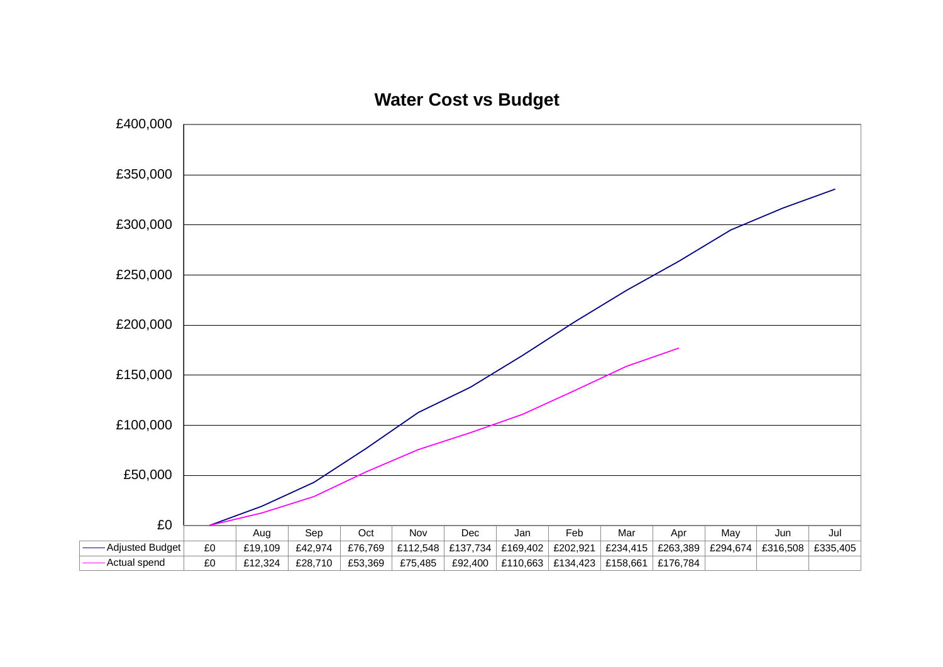

**Water Cost vs Budget**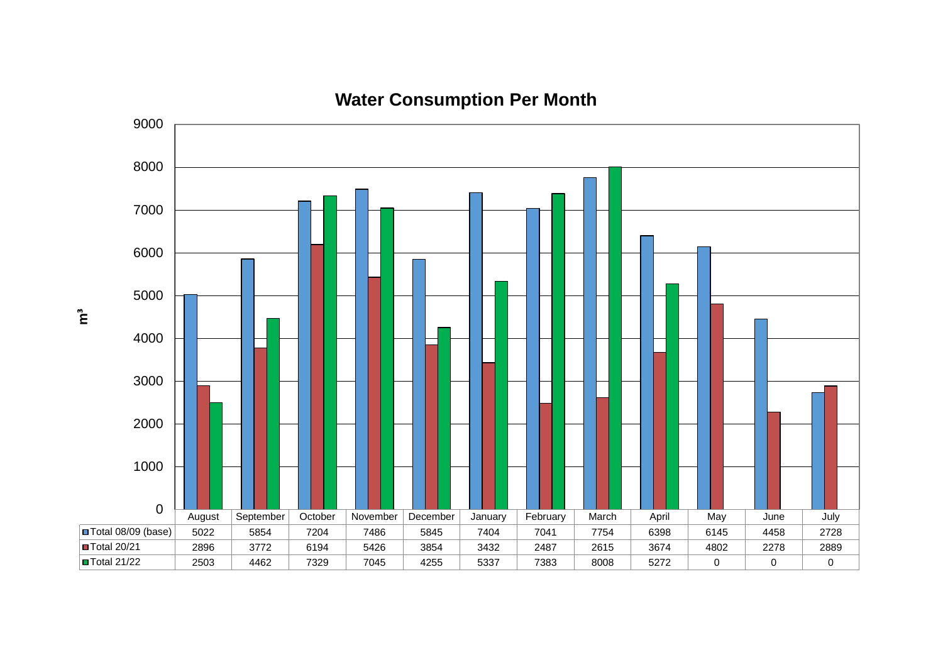

**Water Consumption Per Month**

**m**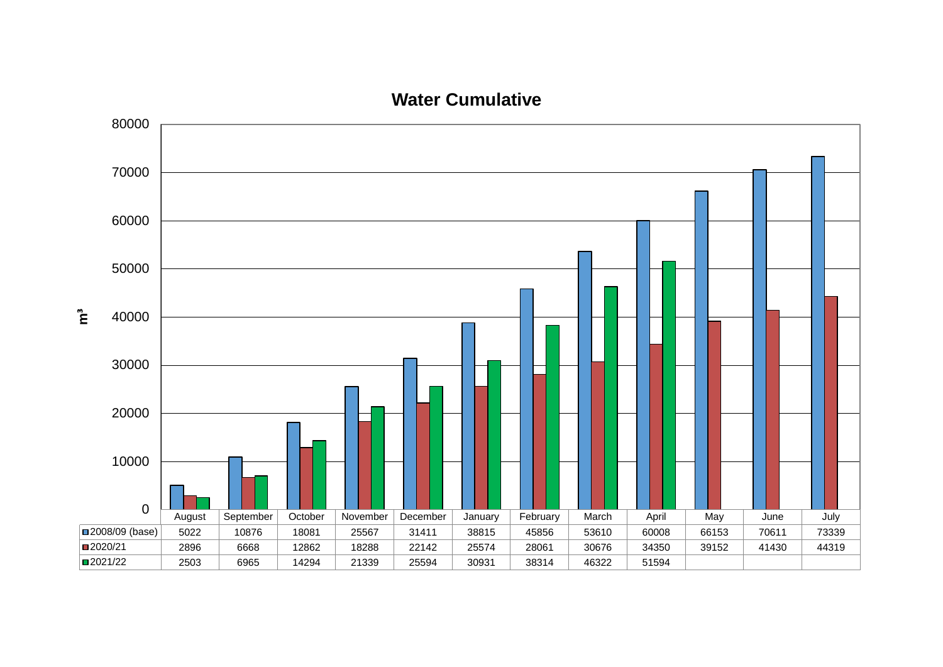



 $\sum_{i=1}^{n}$